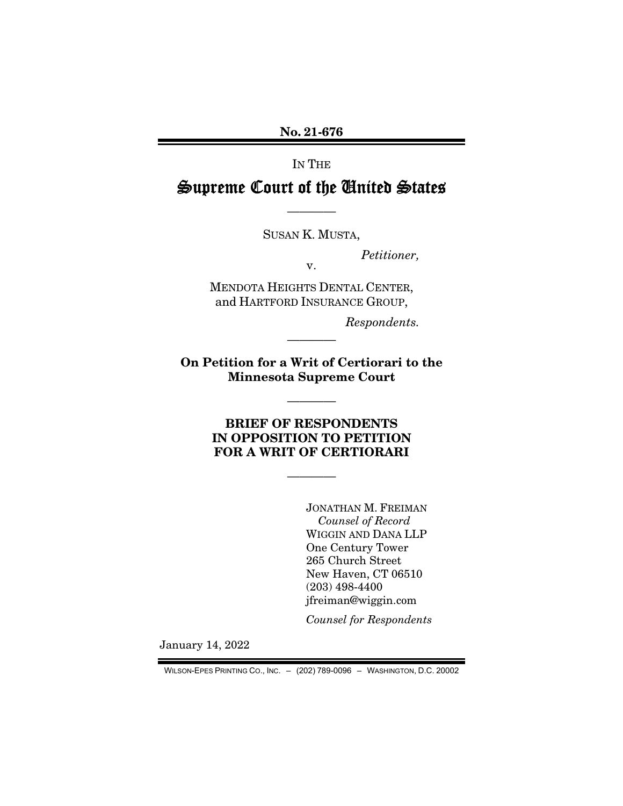No. 21-676

IN THE

# Supreme Court of the United States

SUSAN K. MUSTA,

v.

————

*Petitioner,* 

MENDOTA HEIGHTS DENTAL CENTER, and HARTFORD INSURANCE GROUP,

*Respondents.* 

On Petition for a Writ of Certiorari to the Minnesota Supreme Court

————

————

BRIEF OF RESPONDENTS IN OPPOSITION TO PETITION FOR A WRIT OF CERTIORARI

————

JONATHAN M. FREIMAN *Counsel of Record*  WIGGIN AND DANA LLP One Century Tower 265 Church Street New Haven, CT 06510 (203) 498-4400 jfreiman@wiggin.com

*Counsel for Respondents* 

January 14, 2022

WILSON-EPES PRINTING CO., INC. – (202) 789-0096 – WASHINGTON, D.C. 20002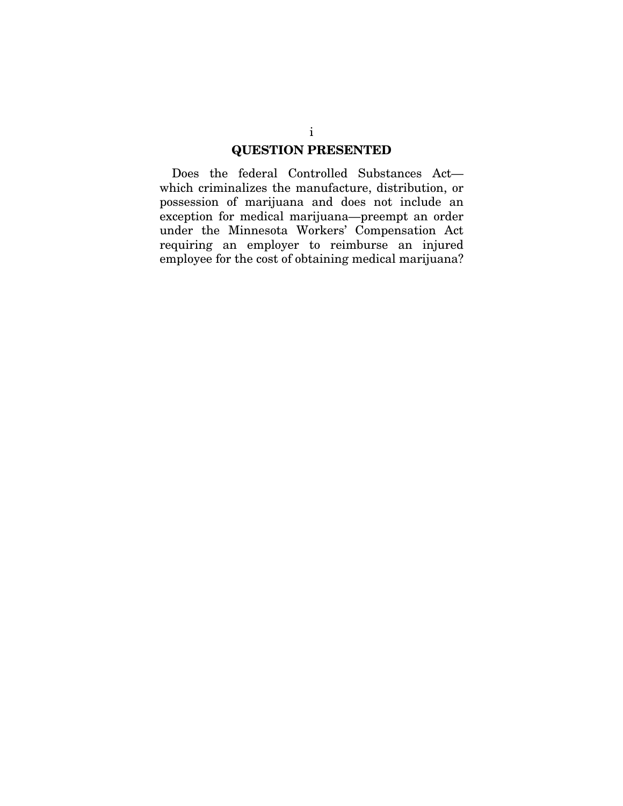### QUESTION PRESENTED

Does the federal Controlled Substances Act which criminalizes the manufacture, distribution, or possession of marijuana and does not include an exception for medical marijuana—preempt an order under the Minnesota Workers' Compensation Act requiring an employer to reimburse an injured employee for the cost of obtaining medical marijuana?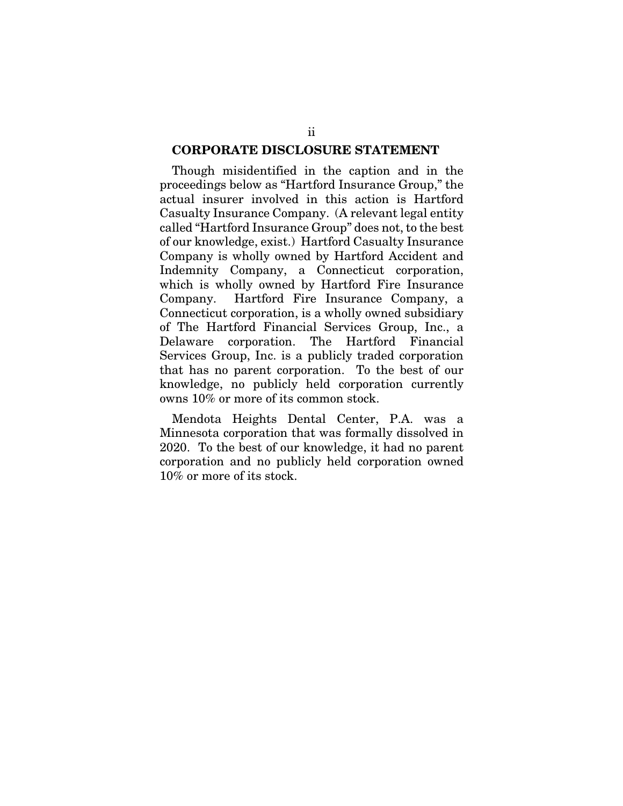### CORPORATE DISCLOSURE STATEMENT

Though misidentified in the caption and in the proceedings below as "Hartford Insurance Group," the actual insurer involved in this action is Hartford Casualty Insurance Company. (A relevant legal entity called "Hartford Insurance Group" does not, to the best of our knowledge, exist.) Hartford Casualty Insurance Company is wholly owned by Hartford Accident and Indemnity Company, a Connecticut corporation, which is wholly owned by Hartford Fire Insurance Company. Hartford Fire Insurance Company, a Connecticut corporation, is a wholly owned subsidiary of The Hartford Financial Services Group, Inc., a Delaware corporation. The Hartford Financial Services Group, Inc. is a publicly traded corporation that has no parent corporation. To the best of our knowledge, no publicly held corporation currently owns 10% or more of its common stock.

Mendota Heights Dental Center, P.A. was a Minnesota corporation that was formally dissolved in 2020. To the best of our knowledge, it had no parent corporation and no publicly held corporation owned 10% or more of its stock.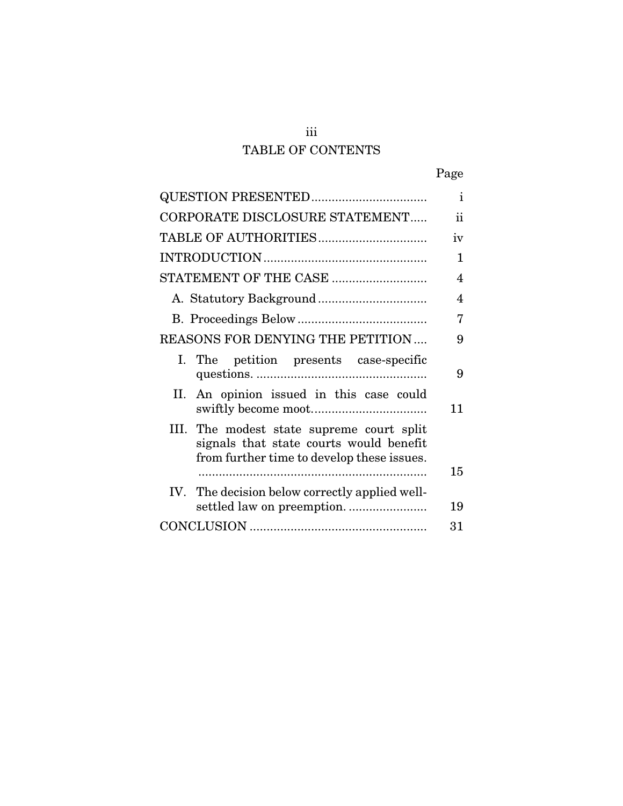## iii TABLE OF CONTENTS

|                                                                                                                                    | $\mathbf{i}$ |
|------------------------------------------------------------------------------------------------------------------------------------|--------------|
| CORPORATE DISCLOSURE STATEMENT                                                                                                     | ii           |
|                                                                                                                                    | iv           |
|                                                                                                                                    | 1            |
| STATEMENT OF THE CASE                                                                                                              | 4            |
|                                                                                                                                    | 4            |
|                                                                                                                                    | 7            |
| REASONS FOR DENYING THE PETITION                                                                                                   | 9            |
| I. The petition presents case-specific                                                                                             | 9            |
| II. An opinion issued in this case could                                                                                           | 11           |
| III. The modest state supreme court split<br>signals that state courts would benefit<br>from further time to develop these issues. |              |
|                                                                                                                                    | 15           |
| IV. The decision below correctly applied well-                                                                                     | 19           |
|                                                                                                                                    | 31           |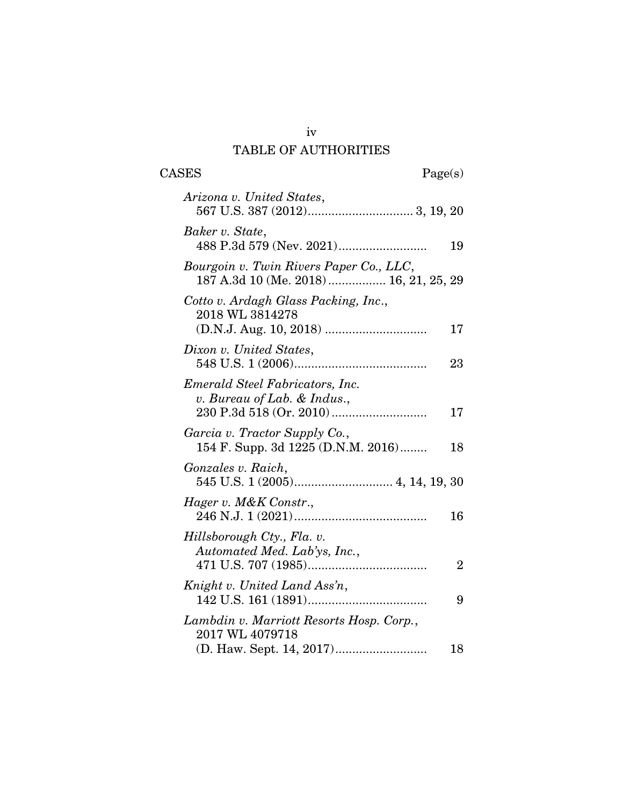## iv TABLE OF AUTHORITIES

| Arizona v. United States,                                                         |                |
|-----------------------------------------------------------------------------------|----------------|
| Baker v. State,                                                                   | 19             |
| Bourgoin v. Twin Rivers Paper Co., LLC,<br>187 A.3d 10 (Me. 2018)  16, 21, 25, 29 |                |
| Cotto v. Ardagh Glass Packing, Inc.,<br>2018 WL 3814278                           | 17             |
| Dixon v. United States,                                                           | 23             |
| Emerald Steel Fabricators, Inc.<br>v. Bureau of Lab. $&$ Indus.,                  | 17             |
| Garcia v. Tractor Supply Co.,<br>154 F. Supp. 3d 1225 (D.N.M. 2016)               | 18             |
| Gonzales v. Raich,                                                                |                |
| Hager v. M&K Constr.,                                                             | 16             |
| Hillsborough Cty., Fla. v.<br>Automated Med. Lab'ys, Inc.,                        | $\overline{2}$ |
| Knight v. United Land Ass'n,                                                      | 9              |
| Lambdin v. Marriott Resorts Hosp. Corp.,<br>2017 WL 4079718                       | 18             |
|                                                                                   |                |

CASES Page(s)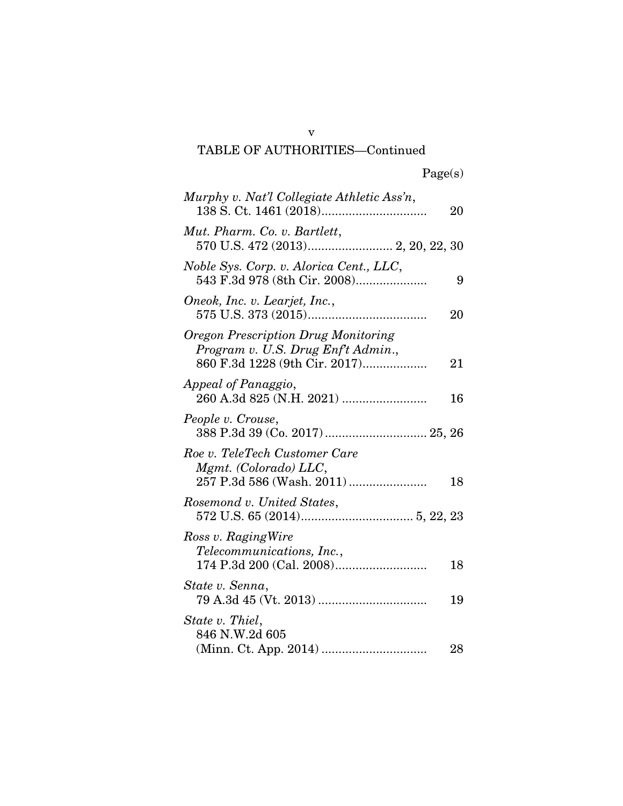TABLE OF AUTHORITIES—Continued

| Murphy v. Nat'l Collegiate Athletic Ass'n,                                                                       | 20 |
|------------------------------------------------------------------------------------------------------------------|----|
| Mut. Pharm. Co. v. Bartlett,<br>570 U.S. 472 (2013) 2, 20, 22, 30                                                |    |
| Noble Sys. Corp. v. Alorica Cent., LLC,<br>543 F.3d 978 (8th Cir. 2008)                                          | 9  |
| Oneok, Inc. v. Learjet, Inc.,                                                                                    | 20 |
| <b>Oregon Prescription Drug Monitoring</b><br>Program v. U.S. Drug Enft Admin.,<br>860 F.3d 1228 (9th Cir. 2017) | 21 |
| Appeal of Panaggio,                                                                                              | 16 |
| People v. Crouse,<br>388 P.3d 39 (Co. 2017)  25, 26                                                              |    |
| Roe v. TeleTech Customer Care<br>Mgmt. (Colorado) LLC,                                                           | 18 |
| Rosemond v. United States,                                                                                       |    |
| Ross v. Raging Wire<br><i>Telecommunications, Inc.,</i>                                                          | 18 |
| State v. Senna,                                                                                                  | 19 |
| State v. Thiel,<br>846 N.W.2d 605                                                                                | 28 |

v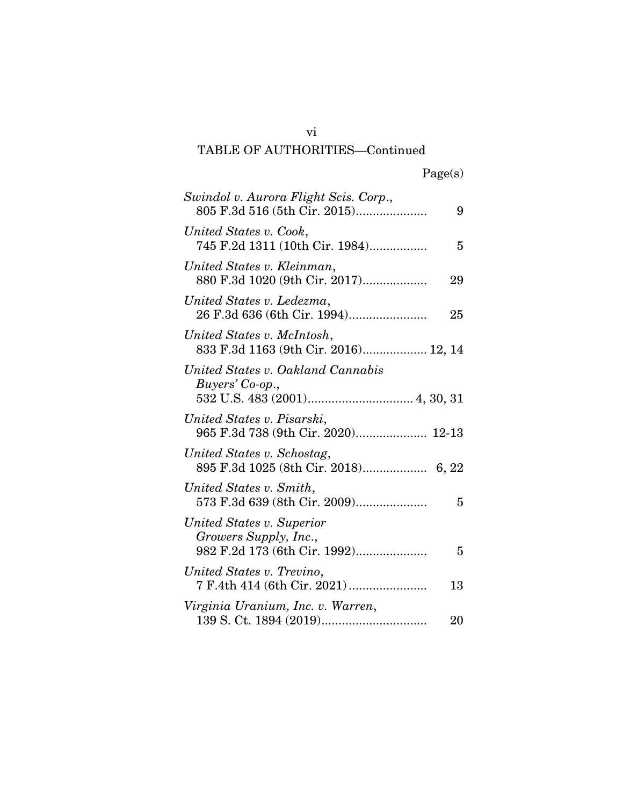# TABLE OF AUTHORITIES—Continued

| Swindol v. Aurora Flight Scis. Corp.,<br>805 F.3d 516 (5th Cir. 2015)              | 9  |
|------------------------------------------------------------------------------------|----|
| United States v. Cook,<br>745 F.2d 1311 (10th Cir. 1984)                           | 5  |
| United States v. Kleinman,<br>880 F.3d 1020 (9th Cir. 2017)                        | 29 |
| United States v. Ledezma,<br>26 F.3d 636 (6th Cir. 1994)                           | 25 |
| United States v. McIntosh,<br>833 F.3d 1163 (9th Cir. 2016) 12, 14                 |    |
| United States v. Oakland Cannabis<br>Buyers' Co-op.,                               |    |
| United States v. Pisarski,<br>965 F.3d 738 (9th Cir. 2020) 12-13                   |    |
| United States v. Schostag,<br>895 F.3d 1025 (8th Cir. 2018) 6, 22                  |    |
| United States v. Smith,<br>573 F.3d 639 (8th Cir. 2009)                            | 5  |
| United States v. Superior<br>Growers Supply, Inc.,<br>982 F.2d 173 (6th Cir. 1992) | 5  |
| United States v. Trevino,                                                          | 13 |
| Virginia Uranium, Inc. v. Warren,                                                  | 20 |

vi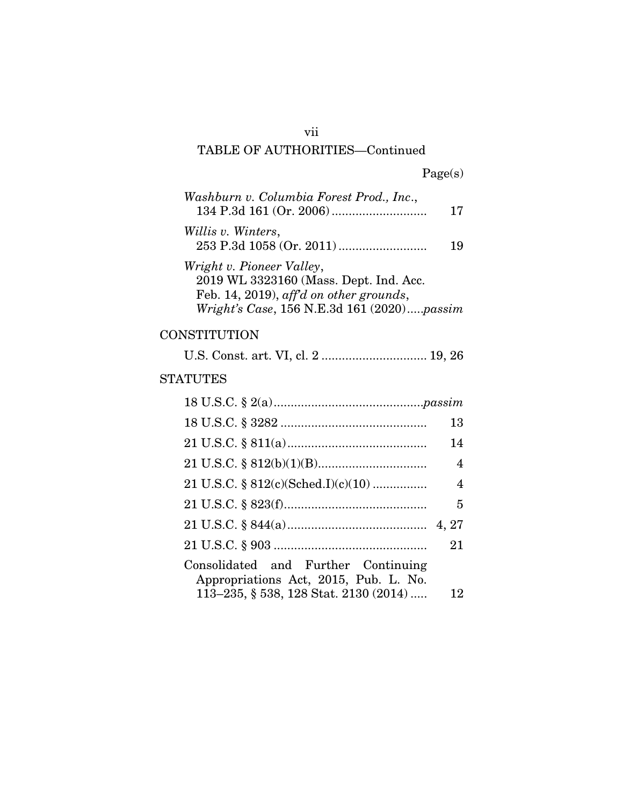## vii TABLE OF AUTHORITIES—Continued

| Washburn v. Columbia Forest Prod., Inc.,   | 17 |
|--------------------------------------------|----|
| Willis v. Winters,                         | 19 |
| Wright v. Pioneer Valley,                  |    |
| 2019 WL 3323160 (Mass. Dept. Ind. Acc.     |    |
| Feb. 14, 2019), aff'd on other grounds,    |    |
| Wright's Case, 156 N.E.3d 161 (2020)passim |    |

### **CONSTITUTION**

## STATUTES

|                                                                              | 13             |
|------------------------------------------------------------------------------|----------------|
|                                                                              | 14             |
|                                                                              | $\overline{4}$ |
|                                                                              | $\overline{4}$ |
|                                                                              | 5              |
|                                                                              |                |
|                                                                              | 21             |
| Consolidated and Further Continuing<br>Appropriations Act, 2015, Pub. L. No. |                |
| 113-235, § 538, 128 Stat. 2130 (2014)                                        | 12             |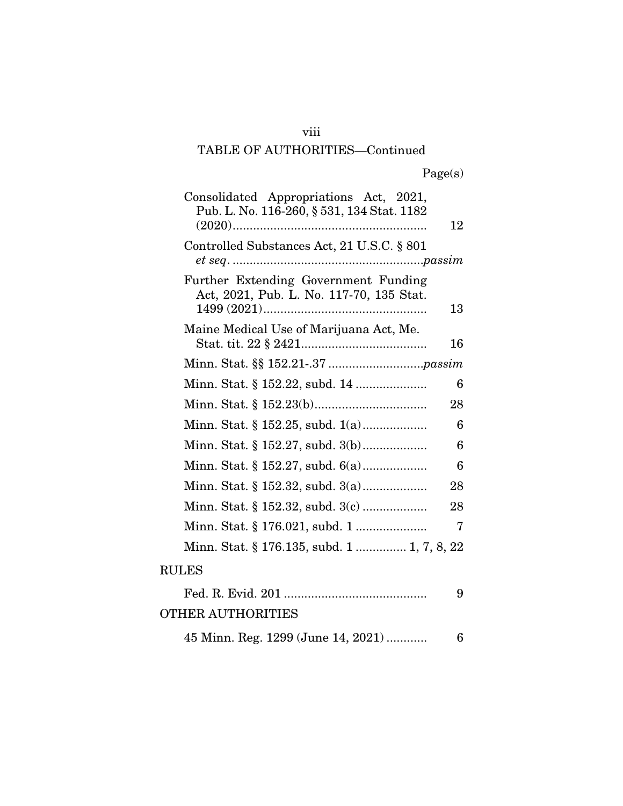### viii

### TABLE OF AUTHORITIES—Continued

| Consolidated Appropriations Act, 2021,<br>Pub. L. No. 116-260, § 531, 134 Stat. 1182 | 12 |
|--------------------------------------------------------------------------------------|----|
| Controlled Substances Act, 21 U.S.C. § 801                                           |    |
| Further Extending Government Funding<br>Act, 2021, Pub. L. No. 117-70, 135 Stat.     | 13 |
| Maine Medical Use of Marijuana Act, Me.                                              | 16 |
|                                                                                      |    |
|                                                                                      | 6  |
|                                                                                      | 28 |
|                                                                                      | 6  |
|                                                                                      | 6  |
|                                                                                      | 6  |
|                                                                                      | 28 |
|                                                                                      | 28 |
|                                                                                      | 7  |
| Minn. Stat. § 176.135, subd. 1  1, 7, 8, 22                                          |    |
| <b>RULES</b>                                                                         |    |
|                                                                                      | 9  |

### OTHER AUTHORITIES

45 Minn. Reg. 1299 (June 14, 2021) ............ 6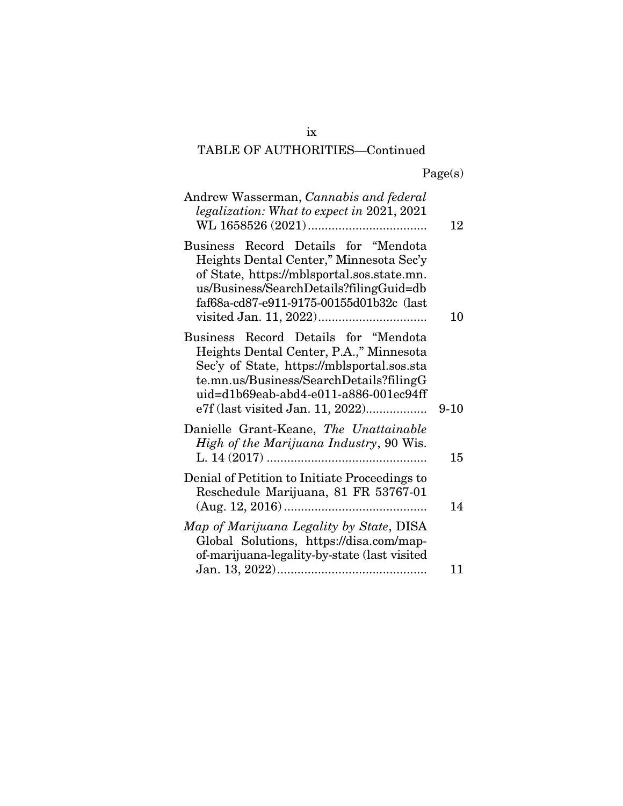# TABLE OF AUTHORITIES—Continued

| Andrew Wasserman, Cannabis and federal<br>legalization: What to expect in 2021, 2021                                                                                                                                                                  | 12     |
|-------------------------------------------------------------------------------------------------------------------------------------------------------------------------------------------------------------------------------------------------------|--------|
| Business Record Details for "Mendota<br>Heights Dental Center," Minnesota Sec'y<br>of State, https://mblsportal.sos.state.mn.<br>us/Business/SearchDetails?filingGuid=db<br>faf68a-cd87-e911-9175-00155d01b32c (last                                  | 10     |
| Business Record Details for "Mendota<br>Heights Dental Center, P.A.," Minnesota<br>Sec'y of State, https://mblsportal.sos.sta<br>te.mn.us/Business/SearchDetails?filingG<br>uid=d1b69eab-abd4-e011-a886-001ec94ff<br>e7f (last visited Jan. 11, 2022) | $9-10$ |
| Danielle Grant-Keane, The Unattainable<br>High of the Marijuana Industry, 90 Wis.                                                                                                                                                                     | 15     |
| Denial of Petition to Initiate Proceedings to<br>Reschedule Marijuana, 81 FR 53767-01                                                                                                                                                                 | 14     |
| Map of Marijuana Legality by State, DISA<br>Global Solutions, https://disa.com/map-<br>of-marijuana-legality-by-state (last visited                                                                                                                   |        |
|                                                                                                                                                                                                                                                       | 11     |

ix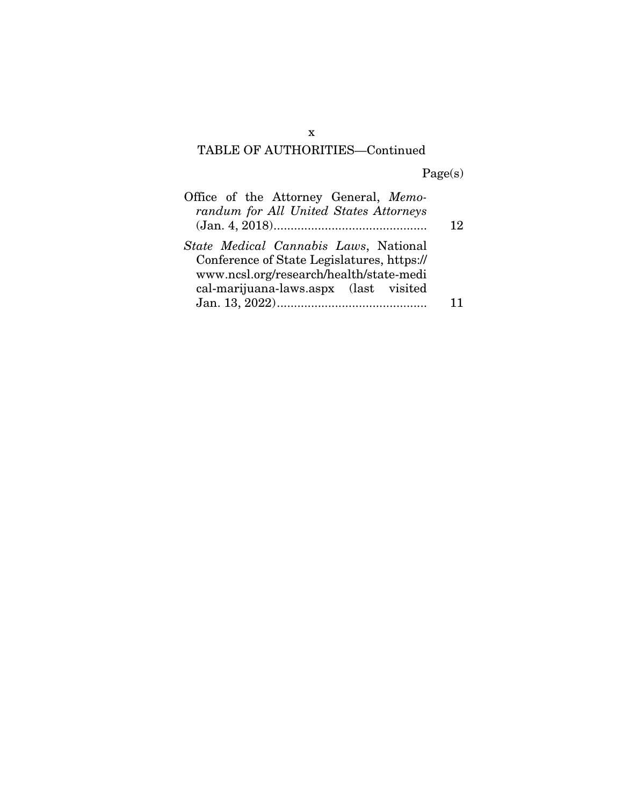# TABLE OF AUTHORITIES—Continued

Page(s)

| Office of the Attorney General, Memo-      |    |
|--------------------------------------------|----|
| randum for All United States Attorneys     |    |
|                                            | 12 |
| State Medical Cannabis Laws, National      |    |
| Conference of State Legislatures, https:// |    |
| www.ncsl.org/research/health/state-medi    |    |
| cal-marijuana-laws.aspx (last visited      |    |
|                                            |    |

x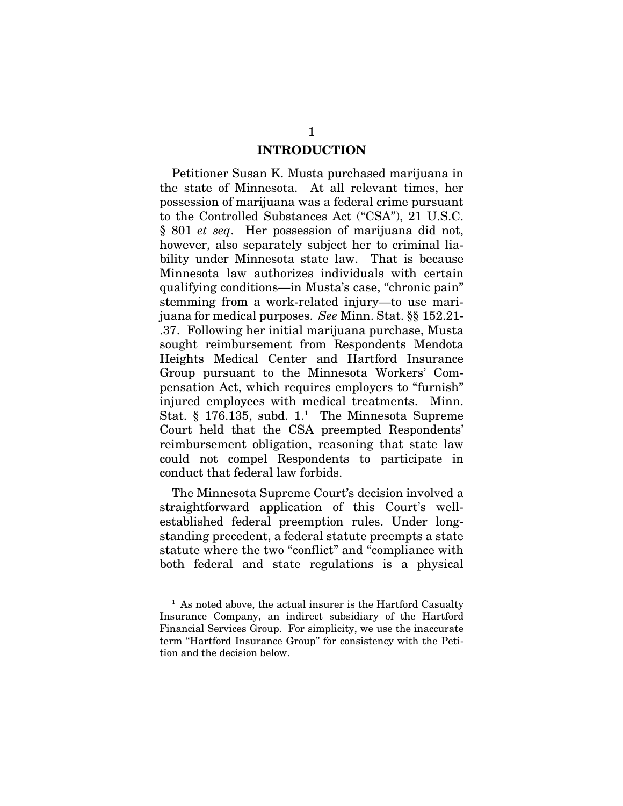### INTRODUCTION

Petitioner Susan K. Musta purchased marijuana in the state of Minnesota. At all relevant times, her possession of marijuana was a federal crime pursuant to the Controlled Substances Act ("CSA"), 21 U.S.C. § 801 *et seq*. Her possession of marijuana did not, however, also separately subject her to criminal liability under Minnesota state law. That is because Minnesota law authorizes individuals with certain qualifying conditions—in Musta's case, "chronic pain" stemming from a work-related injury—to use marijuana for medical purposes. *See* Minn. Stat. §§ 152.21- .37. Following her initial marijuana purchase, Musta sought reimbursement from Respondents Mendota Heights Medical Center and Hartford Insurance Group pursuant to the Minnesota Workers' Compensation Act, which requires employers to "furnish" injured employees with medical treatments. Minn. Stat.  $\S$  176.135, subd. 1.<sup>1</sup> The Minnesota Supreme Court held that the CSA preempted Respondents' reimbursement obligation, reasoning that state law could not compel Respondents to participate in conduct that federal law forbids.

The Minnesota Supreme Court's decision involved a straightforward application of this Court's wellestablished federal preemption rules. Under longstanding precedent, a federal statute preempts a state statute where the two "conflict" and "compliance with both federal and state regulations is a physical

<sup>&</sup>lt;sup>1</sup> As noted above, the actual insurer is the Hartford Casualty Insurance Company, an indirect subsidiary of the Hartford Financial Services Group. For simplicity, we use the inaccurate term "Hartford Insurance Group" for consistency with the Petition and the decision below.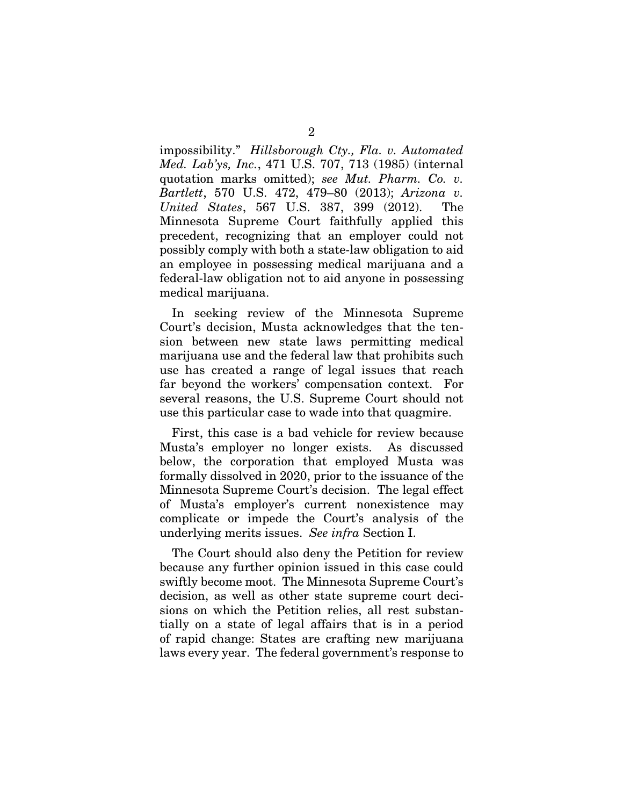impossibility." *Hillsborough Cty., Fla. v. Automated Med. Lab'ys, Inc.*, 471 U.S. 707, 713 (1985) (internal quotation marks omitted); *see Mut. Pharm. Co. v. Bartlett*, 570 U.S. 472, 479–80 (2013); *Arizona v. United States*, 567 U.S. 387, 399 (2012). The Minnesota Supreme Court faithfully applied this precedent, recognizing that an employer could not possibly comply with both a state-law obligation to aid an employee in possessing medical marijuana and a federal-law obligation not to aid anyone in possessing medical marijuana.

In seeking review of the Minnesota Supreme Court's decision, Musta acknowledges that the tension between new state laws permitting medical marijuana use and the federal law that prohibits such use has created a range of legal issues that reach far beyond the workers' compensation context. For several reasons, the U.S. Supreme Court should not use this particular case to wade into that quagmire.

First, this case is a bad vehicle for review because Musta's employer no longer exists. As discussed below, the corporation that employed Musta was formally dissolved in 2020, prior to the issuance of the Minnesota Supreme Court's decision. The legal effect of Musta's employer's current nonexistence may complicate or impede the Court's analysis of the underlying merits issues. *See infra* Section I.

The Court should also deny the Petition for review because any further opinion issued in this case could swiftly become moot. The Minnesota Supreme Court's decision, as well as other state supreme court decisions on which the Petition relies, all rest substantially on a state of legal affairs that is in a period of rapid change: States are crafting new marijuana laws every year. The federal government's response to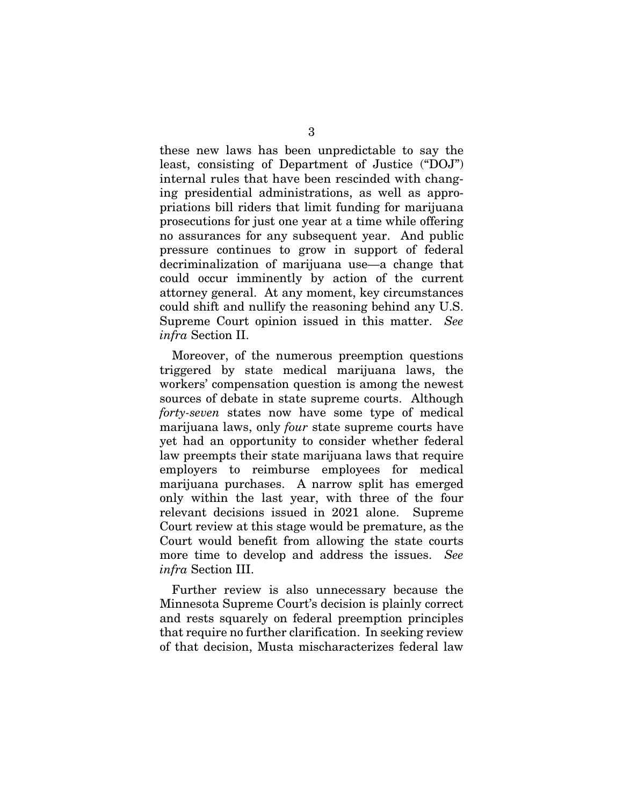these new laws has been unpredictable to say the least, consisting of Department of Justice ("DOJ") internal rules that have been rescinded with changing presidential administrations, as well as appropriations bill riders that limit funding for marijuana prosecutions for just one year at a time while offering no assurances for any subsequent year. And public pressure continues to grow in support of federal decriminalization of marijuana use—a change that could occur imminently by action of the current attorney general. At any moment, key circumstances could shift and nullify the reasoning behind any U.S. Supreme Court opinion issued in this matter. *See infra* Section II.

Moreover, of the numerous preemption questions triggered by state medical marijuana laws, the workers' compensation question is among the newest sources of debate in state supreme courts. Although *forty-seven* states now have some type of medical marijuana laws, only *four* state supreme courts have yet had an opportunity to consider whether federal law preempts their state marijuana laws that require employers to reimburse employees for medical marijuana purchases. A narrow split has emerged only within the last year, with three of the four relevant decisions issued in 2021 alone. Supreme Court review at this stage would be premature, as the Court would benefit from allowing the state courts more time to develop and address the issues. *See infra* Section III.

Further review is also unnecessary because the Minnesota Supreme Court's decision is plainly correct and rests squarely on federal preemption principles that require no further clarification. In seeking review of that decision, Musta mischaracterizes federal law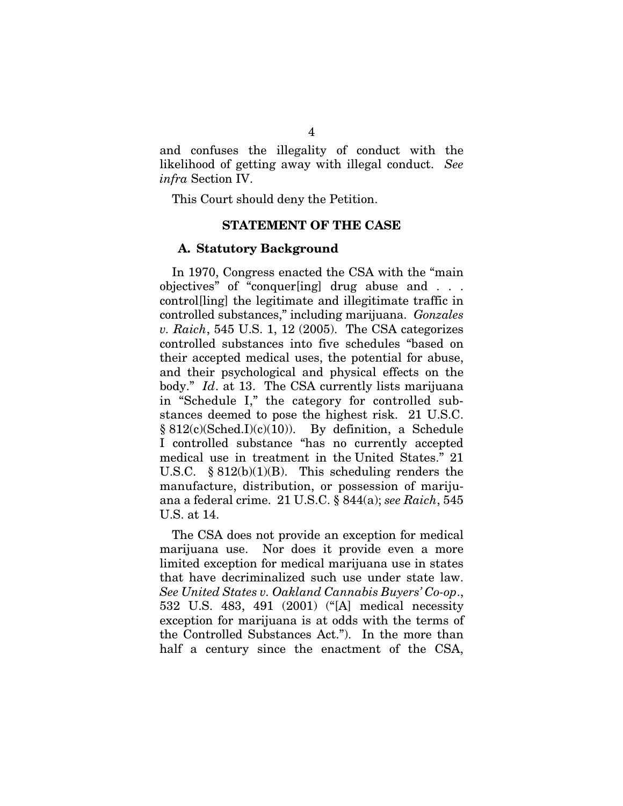and confuses the illegality of conduct with the likelihood of getting away with illegal conduct. *See infra* Section IV.

This Court should deny the Petition.

### STATEMENT OF THE CASE

#### A. Statutory Background

In 1970, Congress enacted the CSA with the "main objectives" of "conquer[ing] drug abuse and . . . control[ling] the legitimate and illegitimate traffic in controlled substances," including marijuana. *Gonzales v. Raich*, 545 U.S. 1, 12 (2005). The CSA categorizes controlled substances into five schedules "based on their accepted medical uses, the potential for abuse, and their psychological and physical effects on the body." *Id*. at 13. The CSA currently lists marijuana in "Schedule I," the category for controlled substances deemed to pose the highest risk. 21 U.S.C. § 812(c)(Sched.I)(c)(10)). By definition, a Schedule I controlled substance "has no currently accepted medical use in treatment in the United States." 21 U.S.C.  $\S 812(b)(1)(B)$ . This scheduling renders the manufacture, distribution, or possession of marijuana a federal crime. 21 U.S.C. § 844(a); *see Raich*, 545 U.S. at 14.

The CSA does not provide an exception for medical marijuana use. Nor does it provide even a more limited exception for medical marijuana use in states that have decriminalized such use under state law. *See United States v. Oakland Cannabis Buyers' Co-op*., 532 U.S. 483, 491 (2001) ("[A] medical necessity exception for marijuana is at odds with the terms of the Controlled Substances Act."). In the more than half a century since the enactment of the CSA,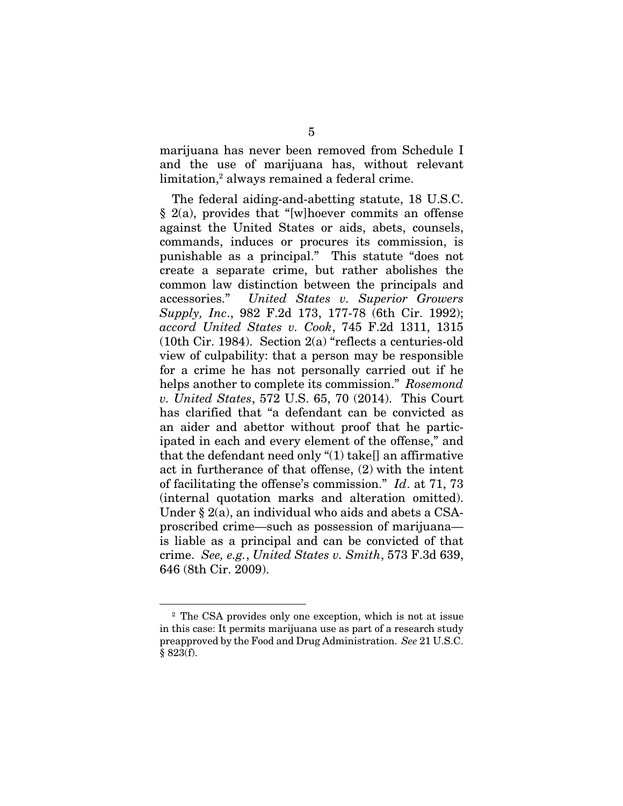marijuana has never been removed from Schedule I and the use of marijuana has, without relevant limitation,<sup>2</sup> always remained a federal crime.

The federal aiding-and-abetting statute, 18 U.S.C. § 2(a), provides that "[w]hoever commits an offense against the United States or aids, abets, counsels, commands, induces or procures its commission, is punishable as a principal." This statute "does not create a separate crime, but rather abolishes the common law distinction between the principals and accessories." *United States v. Superior Growers Supply, Inc*., 982 F.2d 173, 177-78 (6th Cir. 1992); *accord United States v. Cook*, 745 F.2d 1311, 1315 (10th Cir. 1984). Section 2(a) "reflects a centuries-old view of culpability: that a person may be responsible for a crime he has not personally carried out if he helps another to complete its commission." *Rosemond v. United States*, 572 U.S. 65, 70 (2014). This Court has clarified that "a defendant can be convicted as an aider and abettor without proof that he participated in each and every element of the offense," and that the defendant need only "(1) take[] an affirmative act in furtherance of that offense, (2) with the intent of facilitating the offense's commission." *Id*. at 71, 73 (internal quotation marks and alteration omitted). Under § 2(a), an individual who aids and abets a CSAproscribed crime—such as possession of marijuana is liable as a principal and can be convicted of that crime. *See, e.g.*, *United States v. Smith*, 573 F.3d 639, 646 (8th Cir. 2009).

<sup>2</sup> The CSA provides only one exception, which is not at issue in this case: It permits marijuana use as part of a research study preapproved by the Food and Drug Administration. *See* 21 U.S.C. § 823(f).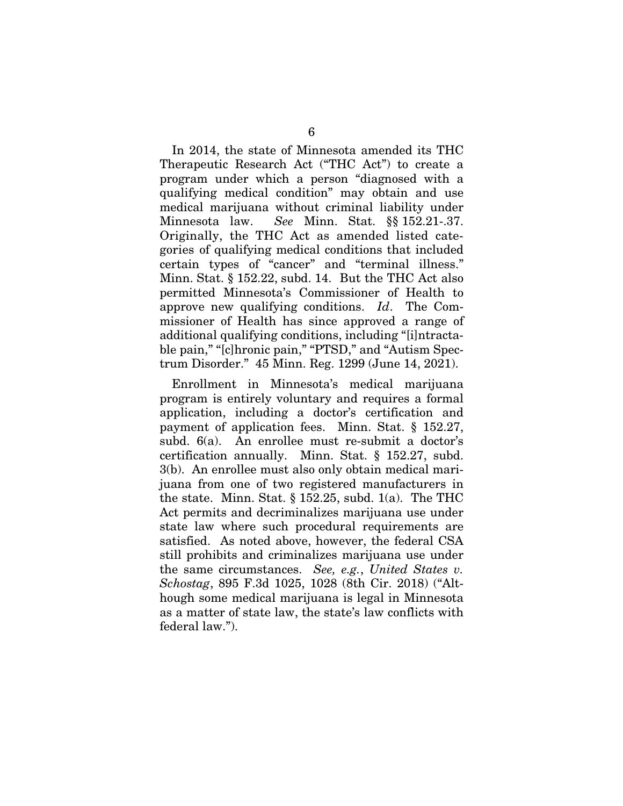In 2014, the state of Minnesota amended its THC Therapeutic Research Act ("THC Act") to create a program under which a person "diagnosed with a qualifying medical condition" may obtain and use medical marijuana without criminal liability under Minnesota law. *See* Minn. Stat. §§ 152.21-.37. Originally, the THC Act as amended listed categories of qualifying medical conditions that included certain types of "cancer" and "terminal illness." Minn. Stat. § 152.22, subd. 14. But the THC Act also permitted Minnesota's Commissioner of Health to approve new qualifying conditions. *Id*. The Commissioner of Health has since approved a range of additional qualifying conditions, including "[i]ntractable pain," "[c]hronic pain," "PTSD," and "Autism Spectrum Disorder." 45 Minn. Reg. 1299 (June 14, 2021).

Enrollment in Minnesota's medical marijuana program is entirely voluntary and requires a formal application, including a doctor's certification and payment of application fees. Minn. Stat. § 152.27, subd. 6(a). An enrollee must re-submit a doctor's certification annually. Minn. Stat. § 152.27, subd. 3(b). An enrollee must also only obtain medical marijuana from one of two registered manufacturers in the state. Minn. Stat.  $\S$  152.25, subd. 1(a). The THC Act permits and decriminalizes marijuana use under state law where such procedural requirements are satisfied. As noted above, however, the federal CSA still prohibits and criminalizes marijuana use under the same circumstances. *See, e.g.*, *United States v. Schostag*, 895 F.3d 1025, 1028 (8th Cir. 2018) ("Although some medical marijuana is legal in Minnesota as a matter of state law, the state's law conflicts with federal law.").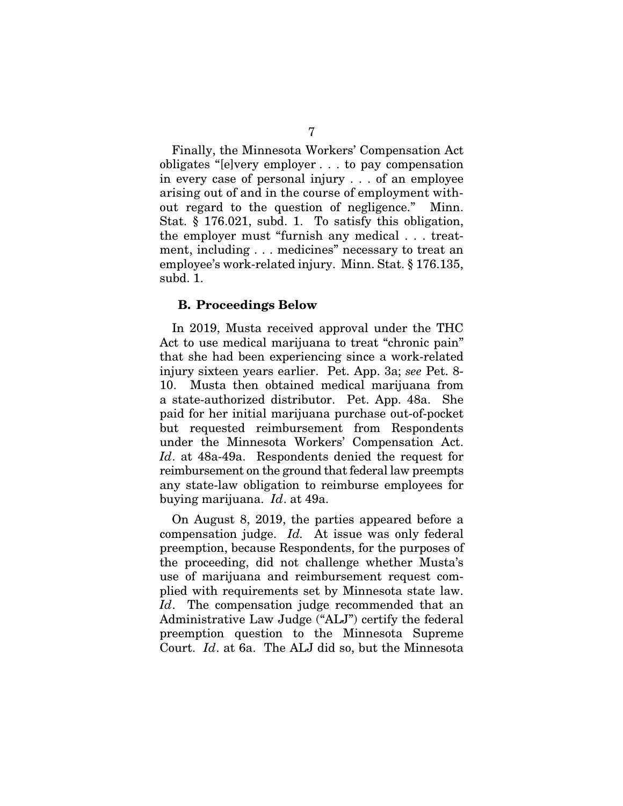Finally, the Minnesota Workers' Compensation Act obligates "[e]very employer . . . to pay compensation in every case of personal injury . . . of an employee arising out of and in the course of employment without regard to the question of negligence." Minn. Stat. § 176.021, subd. 1. To satisfy this obligation, the employer must "furnish any medical . . . treatment, including . . . medicines" necessary to treat an employee's work-related injury. Minn. Stat. § 176.135, subd. 1.

### B. Proceedings Below

In 2019, Musta received approval under the THC Act to use medical marijuana to treat "chronic pain" that she had been experiencing since a work-related injury sixteen years earlier. Pet. App. 3a; *see* Pet. 8- 10. Musta then obtained medical marijuana from a state-authorized distributor. Pet. App. 48a. She paid for her initial marijuana purchase out-of-pocket but requested reimbursement from Respondents under the Minnesota Workers' Compensation Act. *Id*. at 48a-49a. Respondents denied the request for reimbursement on the ground that federal law preempts any state-law obligation to reimburse employees for buying marijuana. *Id*. at 49a.

On August 8, 2019, the parties appeared before a compensation judge. *Id.* At issue was only federal preemption, because Respondents, for the purposes of the proceeding, did not challenge whether Musta's use of marijuana and reimbursement request complied with requirements set by Minnesota state law. *Id*. The compensation judge recommended that an Administrative Law Judge ("ALJ") certify the federal preemption question to the Minnesota Supreme Court. *Id*. at 6a. The ALJ did so, but the Minnesota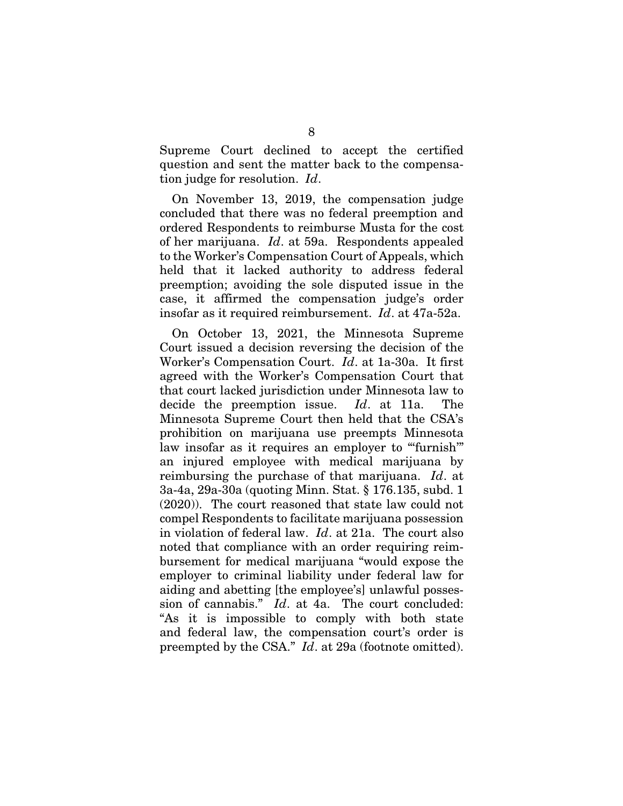Supreme Court declined to accept the certified question and sent the matter back to the compensation judge for resolution. *Id*.

On November 13, 2019, the compensation judge concluded that there was no federal preemption and ordered Respondents to reimburse Musta for the cost of her marijuana. *Id*. at 59a. Respondents appealed to the Worker's Compensation Court of Appeals, which held that it lacked authority to address federal preemption; avoiding the sole disputed issue in the case, it affirmed the compensation judge's order insofar as it required reimbursement. *Id*. at 47a-52a.

On October 13, 2021, the Minnesota Supreme Court issued a decision reversing the decision of the Worker's Compensation Court. *Id*. at 1a-30a. It first agreed with the Worker's Compensation Court that that court lacked jurisdiction under Minnesota law to decide the preemption issue. *Id*. at 11a. The Minnesota Supreme Court then held that the CSA's prohibition on marijuana use preempts Minnesota law insofar as it requires an employer to ""furnish" an injured employee with medical marijuana by reimbursing the purchase of that marijuana. *Id*. at 3a-4a, 29a-30a (quoting Minn. Stat. § 176.135, subd. 1 (2020)). The court reasoned that state law could not compel Respondents to facilitate marijuana possession in violation of federal law. *Id*. at 21a. The court also noted that compliance with an order requiring reimbursement for medical marijuana "would expose the employer to criminal liability under federal law for aiding and abetting [the employee's] unlawful possession of cannabis." *Id*. at 4a. The court concluded: "As it is impossible to comply with both state and federal law, the compensation court's order is preempted by the CSA." *Id*. at 29a (footnote omitted).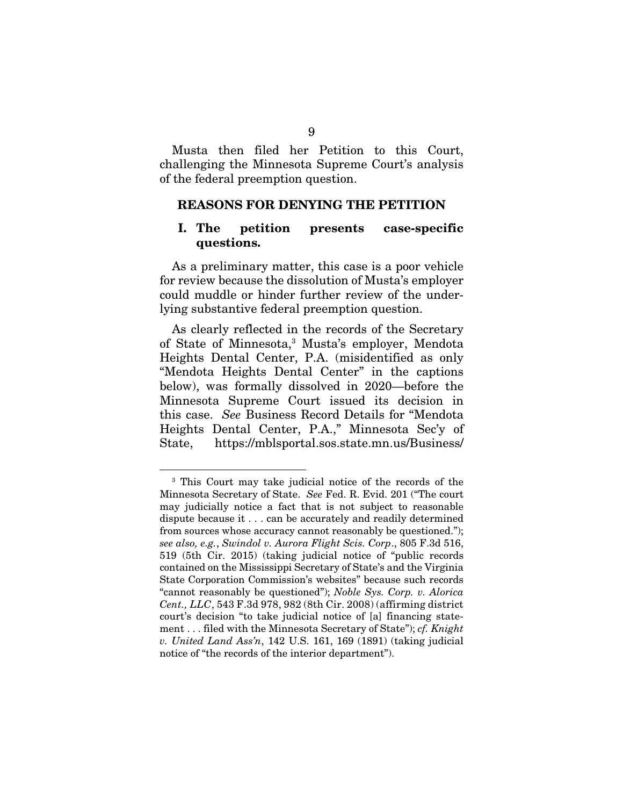Musta then filed her Petition to this Court, challenging the Minnesota Supreme Court's analysis of the federal preemption question.

#### REASONS FOR DENYING THE PETITION

### I. The petition presents case-specific questions.

As a preliminary matter, this case is a poor vehicle for review because the dissolution of Musta's employer could muddle or hinder further review of the underlying substantive federal preemption question.

As clearly reflected in the records of the Secretary of State of Minnesota,3 Musta's employer, Mendota Heights Dental Center, P.A. (misidentified as only "Mendota Heights Dental Center" in the captions below), was formally dissolved in 2020—before the Minnesota Supreme Court issued its decision in this case. *See* Business Record Details for "Mendota Heights Dental Center, P.A.," Minnesota Sec'y of State, https://mblsportal.sos.state.mn.us/Business/

<sup>3</sup> This Court may take judicial notice of the records of the Minnesota Secretary of State. *See* Fed. R. Evid. 201 ("The court may judicially notice a fact that is not subject to reasonable dispute because it . . . can be accurately and readily determined from sources whose accuracy cannot reasonably be questioned."); *see also, e.g.*, *Swindol v. Aurora Flight Scis. Corp*., 805 F.3d 516, 519 (5th Cir. 2015) (taking judicial notice of "public records contained on the Mississippi Secretary of State's and the Virginia State Corporation Commission's websites" because such records "cannot reasonably be questioned"); *Noble Sys. Corp. v. Alorica Cent., LLC*, 543 F.3d 978, 982 (8th Cir. 2008) (affirming district court's decision "to take judicial notice of [a] financing statement . . . filed with the Minnesota Secretary of State"); *cf. Knight v. United Land Ass'n*, 142 U.S. 161, 169 (1891) (taking judicial notice of "the records of the interior department").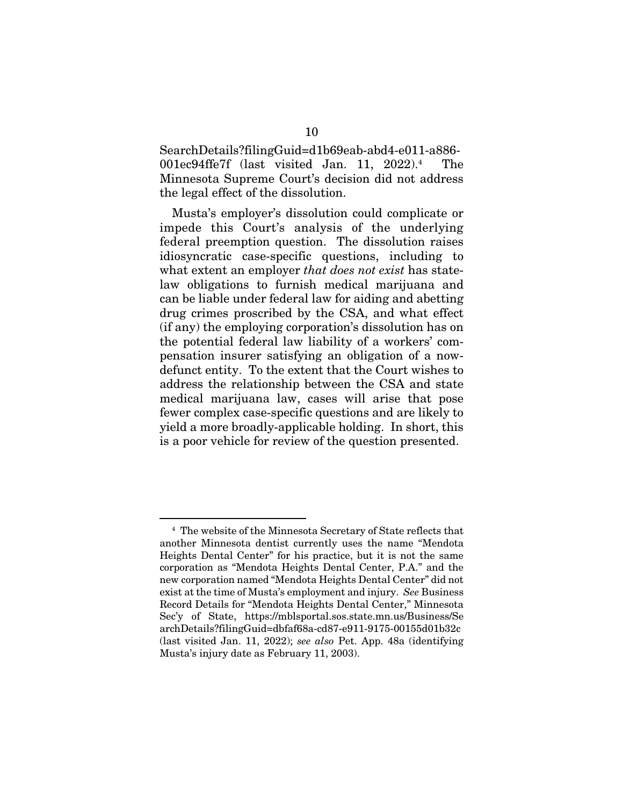SearchDetails?filingGuid=d1b69eab-abd4-e011-a886- 001ec94ffe7f (last visited Jan. 11, 2022).4 The Minnesota Supreme Court's decision did not address the legal effect of the dissolution.

Musta's employer's dissolution could complicate or impede this Court's analysis of the underlying federal preemption question. The dissolution raises idiosyncratic case-specific questions, including to what extent an employer *that does not exist* has statelaw obligations to furnish medical marijuana and can be liable under federal law for aiding and abetting drug crimes proscribed by the CSA, and what effect (if any) the employing corporation's dissolution has on the potential federal law liability of a workers' compensation insurer satisfying an obligation of a nowdefunct entity. To the extent that the Court wishes to address the relationship between the CSA and state medical marijuana law, cases will arise that pose fewer complex case-specific questions and are likely to yield a more broadly-applicable holding. In short, this is a poor vehicle for review of the question presented.

<sup>4</sup> The website of the Minnesota Secretary of State reflects that another Minnesota dentist currently uses the name "Mendota Heights Dental Center" for his practice, but it is not the same corporation as "Mendota Heights Dental Center, P.A." and the new corporation named "Mendota Heights Dental Center" did not exist at the time of Musta's employment and injury. *See* Business Record Details for "Mendota Heights Dental Center," Minnesota Sec'y of State, https://mblsportal.sos.state.mn.us/Business/Se archDetails?filingGuid=dbfaf68a-cd87-e911-9175-00155d01b32c (last visited Jan. 11, 2022); *see also* Pet. App. 48a (identifying Musta's injury date as February 11, 2003).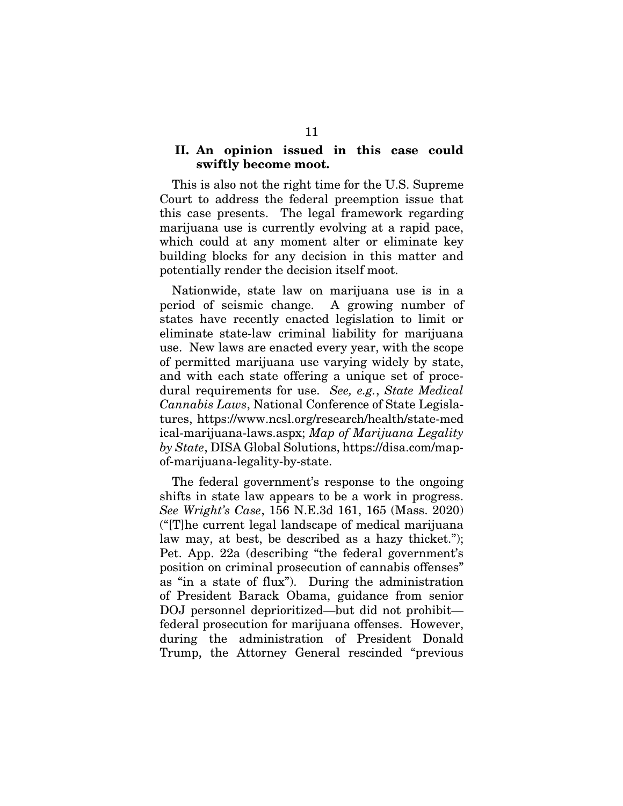### II. An opinion issued in this case could swiftly become moot.

This is also not the right time for the U.S. Supreme Court to address the federal preemption issue that this case presents. The legal framework regarding marijuana use is currently evolving at a rapid pace, which could at any moment alter or eliminate key building blocks for any decision in this matter and potentially render the decision itself moot.

Nationwide, state law on marijuana use is in a period of seismic change. A growing number of states have recently enacted legislation to limit or eliminate state-law criminal liability for marijuana use. New laws are enacted every year, with the scope of permitted marijuana use varying widely by state, and with each state offering a unique set of procedural requirements for use. *See, e.g.*, *State Medical Cannabis Laws*, National Conference of State Legislatures, https://www.ncsl.org/research/health/state-med ical-marijuana-laws.aspx; *Map of Marijuana Legality by State*, DISA Global Solutions, https://disa.com/mapof-marijuana-legality-by-state.

The federal government's response to the ongoing shifts in state law appears to be a work in progress. *See Wright's Case*, 156 N.E.3d 161, 165 (Mass. 2020) ("[T]he current legal landscape of medical marijuana law may, at best, be described as a hazy thicket."); Pet. App. 22a (describing "the federal government's position on criminal prosecution of cannabis offenses" as "in a state of flux"). During the administration of President Barack Obama, guidance from senior DOJ personnel deprioritized—but did not prohibit federal prosecution for marijuana offenses. However, during the administration of President Donald Trump, the Attorney General rescinded "previous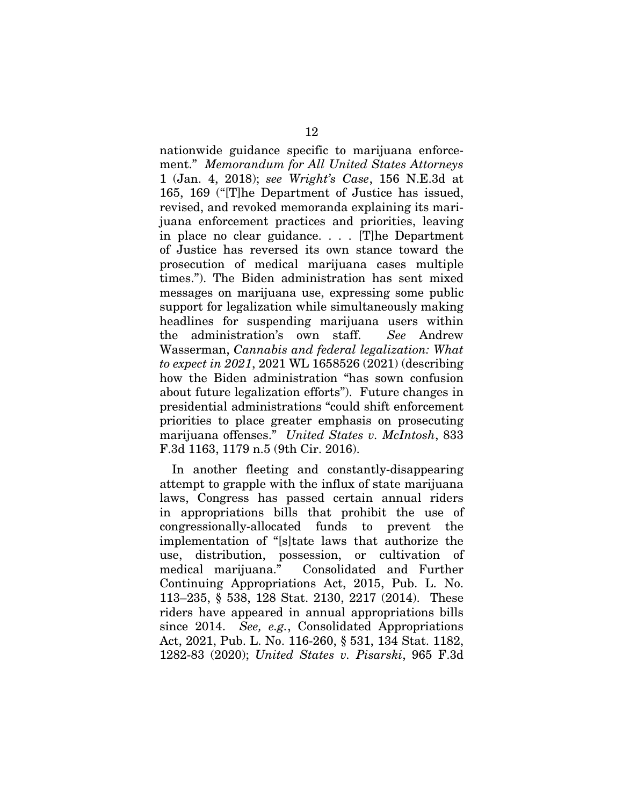nationwide guidance specific to marijuana enforcement." *Memorandum for All United States Attorneys* 1 (Jan. 4, 2018); *see Wright's Case*, 156 N.E.3d at 165, 169 ("[T]he Department of Justice has issued, revised, and revoked memoranda explaining its marijuana enforcement practices and priorities, leaving in place no clear guidance. . . . [T]he Department of Justice has reversed its own stance toward the prosecution of medical marijuana cases multiple times."). The Biden administration has sent mixed messages on marijuana use, expressing some public support for legalization while simultaneously making headlines for suspending marijuana users within the administration's own staff. *See* Andrew Wasserman, *Cannabis and federal legalization: What to expect in 2021*, 2021 WL 1658526 (2021) (describing how the Biden administration "has sown confusion about future legalization efforts"). Future changes in presidential administrations "could shift enforcement priorities to place greater emphasis on prosecuting marijuana offenses." *United States v. McIntosh*, 833 F.3d 1163, 1179 n.5 (9th Cir. 2016).

In another fleeting and constantly-disappearing attempt to grapple with the influx of state marijuana laws, Congress has passed certain annual riders in appropriations bills that prohibit the use of congressionally-allocated funds to prevent the implementation of "[s]tate laws that authorize the use, distribution, possession, or cultivation of medical marijuana." Consolidated and Further Continuing Appropriations Act, 2015, Pub. L. No. 113–235, § 538, 128 Stat. 2130, 2217 (2014). These riders have appeared in annual appropriations bills since 2014. *See, e.g.*, Consolidated Appropriations Act, 2021, Pub. L. No. 116-260, § 531, 134 Stat. 1182, 1282-83 (2020); *United States v. Pisarski*, 965 F.3d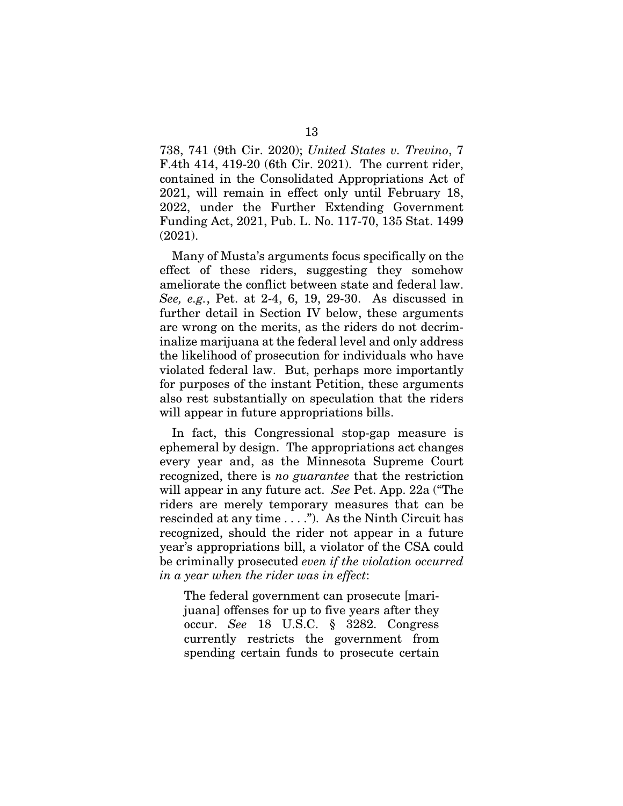738, 741 (9th Cir. 2020); *United States v. Trevino*, 7 F.4th 414, 419-20 (6th Cir. 2021). The current rider, contained in the Consolidated Appropriations Act of 2021, will remain in effect only until February 18, 2022, under the Further Extending Government Funding Act, 2021, Pub. L. No. 117-70, 135 Stat. 1499 (2021).

Many of Musta's arguments focus specifically on the effect of these riders, suggesting they somehow ameliorate the conflict between state and federal law. *See, e.g.*, Pet. at 2-4, 6, 19, 29-30. As discussed in further detail in Section IV below, these arguments are wrong on the merits, as the riders do not decriminalize marijuana at the federal level and only address the likelihood of prosecution for individuals who have violated federal law. But, perhaps more importantly for purposes of the instant Petition, these arguments also rest substantially on speculation that the riders will appear in future appropriations bills.

In fact, this Congressional stop-gap measure is ephemeral by design. The appropriations act changes every year and, as the Minnesota Supreme Court recognized, there is *no guarantee* that the restriction will appear in any future act. *See* Pet. App. 22a ("The riders are merely temporary measures that can be rescinded at any time . . . ."). As the Ninth Circuit has recognized, should the rider not appear in a future year's appropriations bill, a violator of the CSA could be criminally prosecuted *even if the violation occurred in a year when the rider was in effect*:

The federal government can prosecute [marijuana] offenses for up to five years after they occur. *See* 18 U.S.C. § 3282. Congress currently restricts the government from spending certain funds to prosecute certain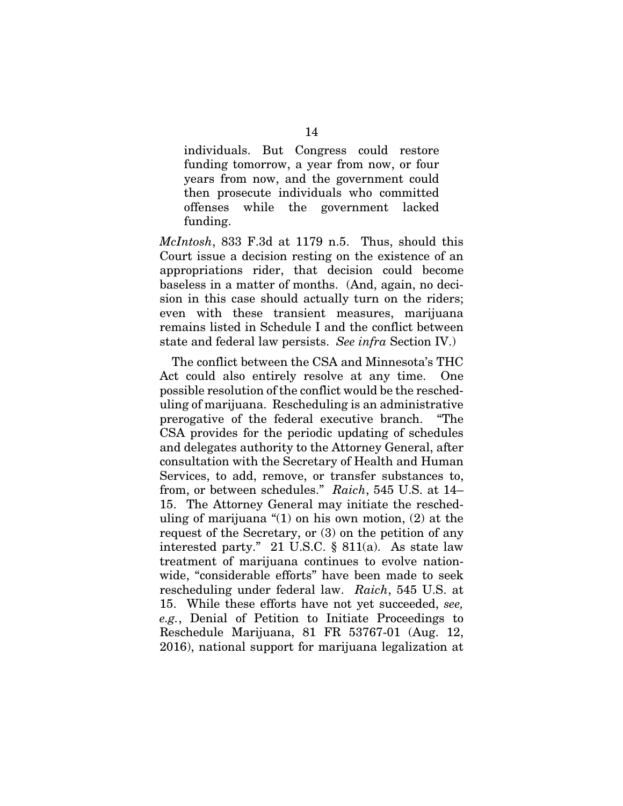individuals. But Congress could restore funding tomorrow, a year from now, or four years from now, and the government could then prosecute individuals who committed offenses while the government lacked funding.

*McIntosh*, 833 F.3d at 1179 n.5. Thus, should this Court issue a decision resting on the existence of an appropriations rider, that decision could become baseless in a matter of months. (And, again, no decision in this case should actually turn on the riders; even with these transient measures, marijuana remains listed in Schedule I and the conflict between state and federal law persists. *See infra* Section IV.)

The conflict between the CSA and Minnesota's THC Act could also entirely resolve at any time. One possible resolution of the conflict would be the rescheduling of marijuana. Rescheduling is an administrative prerogative of the federal executive branch. "The CSA provides for the periodic updating of schedules and delegates authority to the Attorney General, after consultation with the Secretary of Health and Human Services, to add, remove, or transfer substances to, from, or between schedules." *Raich*, 545 U.S. at 14– 15. The Attorney General may initiate the rescheduling of marijuana "(1) on his own motion, (2) at the request of the Secretary, or (3) on the petition of any interested party." 21 U.S.C. § 811(a). As state law treatment of marijuana continues to evolve nationwide, "considerable efforts" have been made to seek rescheduling under federal law. *Raich*, 545 U.S. at 15. While these efforts have not yet succeeded, *see, e.g.*, Denial of Petition to Initiate Proceedings to Reschedule Marijuana, 81 FR 53767-01 (Aug. 12, 2016), national support for marijuana legalization at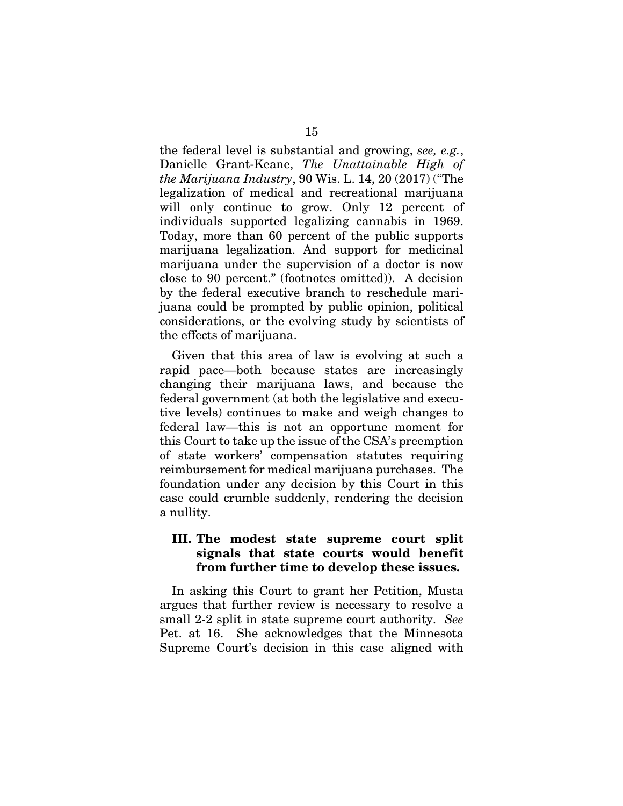the federal level is substantial and growing, *see, e.g.*, Danielle Grant-Keane, *The Unattainable High of the Marijuana Industry*, 90 Wis. L. 14, 20 (2017) ("The legalization of medical and recreational marijuana will only continue to grow. Only 12 percent of individuals supported legalizing cannabis in 1969. Today, more than 60 percent of the public supports marijuana legalization. And support for medicinal marijuana under the supervision of a doctor is now close to 90 percent." (footnotes omitted)). A decision by the federal executive branch to reschedule marijuana could be prompted by public opinion, political considerations, or the evolving study by scientists of the effects of marijuana.

Given that this area of law is evolving at such a rapid pace—both because states are increasingly changing their marijuana laws, and because the federal government (at both the legislative and executive levels) continues to make and weigh changes to federal law—this is not an opportune moment for this Court to take up the issue of the CSA's preemption of state workers' compensation statutes requiring reimbursement for medical marijuana purchases. The foundation under any decision by this Court in this case could crumble suddenly, rendering the decision a nullity.

### III. The modest state supreme court split signals that state courts would benefit from further time to develop these issues.

In asking this Court to grant her Petition, Musta argues that further review is necessary to resolve a small 2-2 split in state supreme court authority. *See* Pet. at 16. She acknowledges that the Minnesota Supreme Court's decision in this case aligned with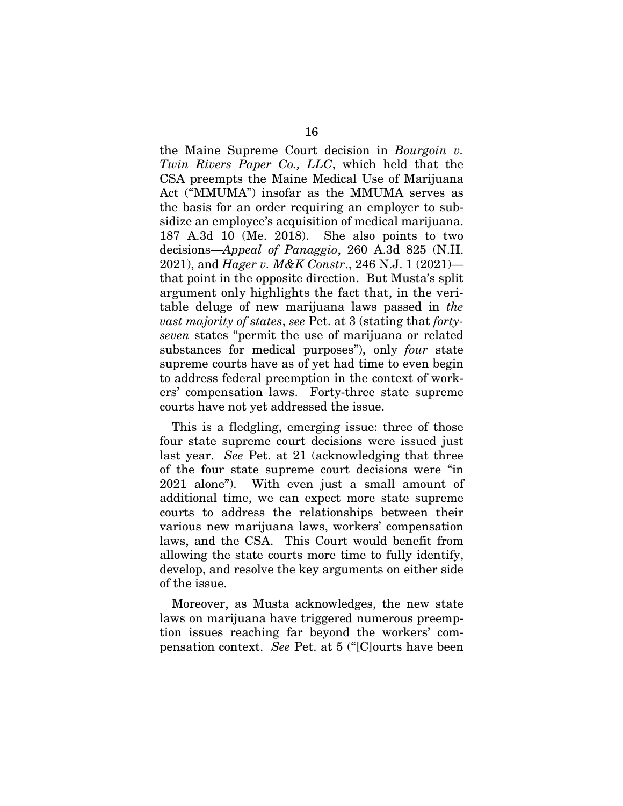the Maine Supreme Court decision in *Bourgoin v. Twin Rivers Paper Co., LLC*, which held that the CSA preempts the Maine Medical Use of Marijuana Act ("MMUMA") insofar as the MMUMA serves as the basis for an order requiring an employer to subsidize an employee's acquisition of medical marijuana. 187 A.3d 10 (Me. 2018). She also points to two decisions—*Appeal of Panaggio*, 260 A.3d 825 (N.H. 2021), and *Hager v. M&K Constr*., 246 N.J. 1 (2021) that point in the opposite direction. But Musta's split argument only highlights the fact that, in the veritable deluge of new marijuana laws passed in *the vast majority of states*, *see* Pet. at 3 (stating that *fortyseven* states "permit the use of marijuana or related substances for medical purposes"), only *four* state supreme courts have as of yet had time to even begin to address federal preemption in the context of workers' compensation laws. Forty-three state supreme courts have not yet addressed the issue.

This is a fledgling, emerging issue: three of those four state supreme court decisions were issued just last year. *See* Pet. at 21 (acknowledging that three of the four state supreme court decisions were "in 2021 alone"). With even just a small amount of additional time, we can expect more state supreme courts to address the relationships between their various new marijuana laws, workers' compensation laws, and the CSA. This Court would benefit from allowing the state courts more time to fully identify, develop, and resolve the key arguments on either side of the issue.

Moreover, as Musta acknowledges, the new state laws on marijuana have triggered numerous preemption issues reaching far beyond the workers' compensation context. *See* Pet. at 5 ("[C]ourts have been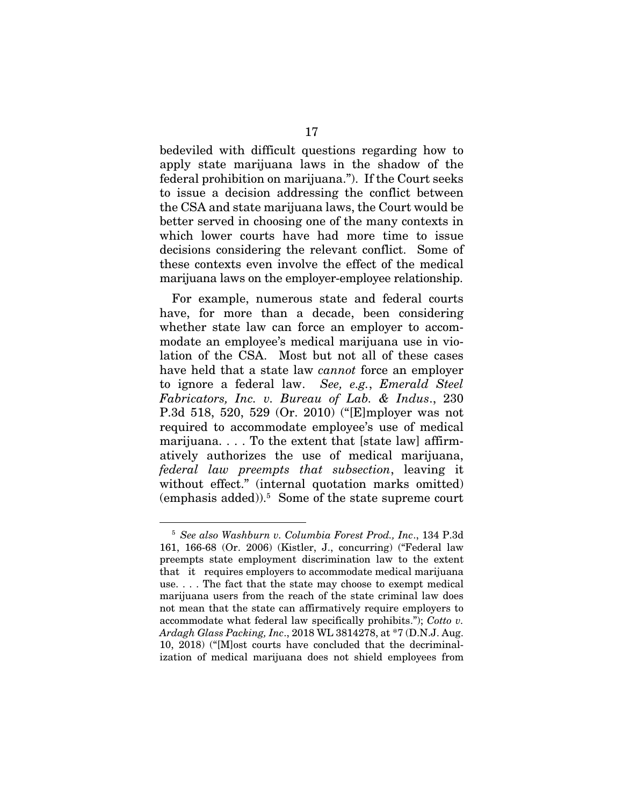bedeviled with difficult questions regarding how to apply state marijuana laws in the shadow of the federal prohibition on marijuana."). If the Court seeks to issue a decision addressing the conflict between the CSA and state marijuana laws, the Court would be better served in choosing one of the many contexts in which lower courts have had more time to issue decisions considering the relevant conflict. Some of these contexts even involve the effect of the medical marijuana laws on the employer-employee relationship.

For example, numerous state and federal courts have, for more than a decade, been considering whether state law can force an employer to accommodate an employee's medical marijuana use in violation of the CSA. Most but not all of these cases have held that a state law *cannot* force an employer to ignore a federal law. *See, e.g.*, *Emerald Steel Fabricators, Inc. v. Bureau of Lab. & Indus*., 230 P.3d 518, 520, 529 (Or. 2010) ("[E]mployer was not required to accommodate employee's use of medical marijuana. . . . To the extent that [state law] affirmatively authorizes the use of medical marijuana, *federal law preempts that subsection*, leaving it without effect." (internal quotation marks omitted) (emphasis added)).5 Some of the state supreme court

<sup>5</sup> *See also Washburn v. Columbia Forest Prod., Inc*., 134 P.3d 161, 166-68 (Or. 2006) (Kistler, J., concurring) ("Federal law preempts state employment discrimination law to the extent that it requires employers to accommodate medical marijuana use. . . . The fact that the state may choose to exempt medical marijuana users from the reach of the state criminal law does not mean that the state can affirmatively require employers to accommodate what federal law specifically prohibits."); *Cotto v. Ardagh Glass Packing, Inc*., 2018 WL 3814278, at \*7 (D.N.J. Aug. 10, 2018) ("[M]ost courts have concluded that the decriminalization of medical marijuana does not shield employees from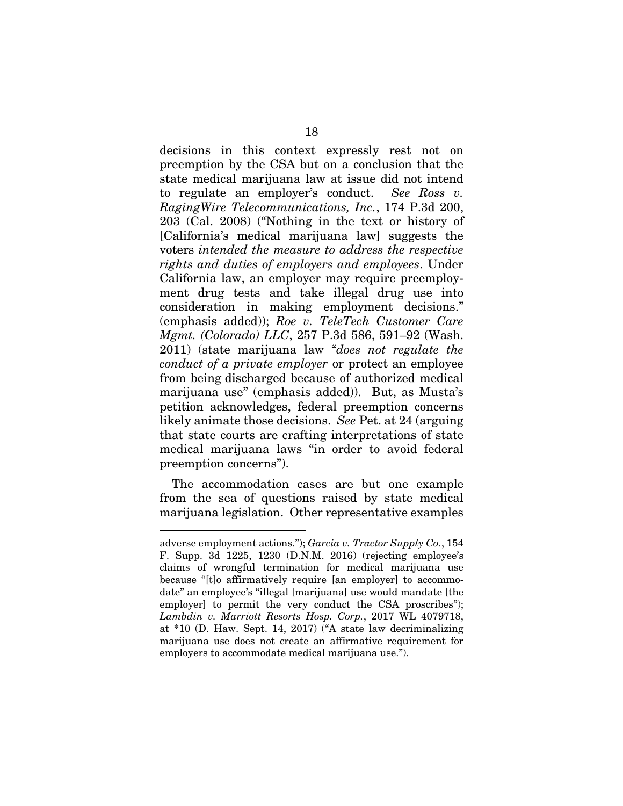decisions in this context expressly rest not on preemption by the CSA but on a conclusion that the state medical marijuana law at issue did not intend to regulate an employer's conduct. *See Ross v. RagingWire Telecommunications, Inc.*, 174 P.3d 200, 203 (Cal. 2008) ("Nothing in the text or history of [California's medical marijuana law] suggests the voters *intended the measure to address the respective rights and duties of employers and employees*. Under California law, an employer may require preemployment drug tests and take illegal drug use into consideration in making employment decisions." (emphasis added)); *Roe v. TeleTech Customer Care Mgmt. (Colorado) LLC*, 257 P.3d 586, 591–92 (Wash. 2011) (state marijuana law "*does not regulate the conduct of a private employer* or protect an employee from being discharged because of authorized medical marijuana use" (emphasis added)). But, as Musta's petition acknowledges, federal preemption concerns likely animate those decisions. *See* Pet. at 24 (arguing that state courts are crafting interpretations of state medical marijuana laws "in order to avoid federal preemption concerns").

The accommodation cases are but one example from the sea of questions raised by state medical marijuana legislation. Other representative examples

adverse employment actions."); *Garcia v. Tractor Supply Co.*, 154 F. Supp. 3d 1225, 1230 (D.N.M. 2016) (rejecting employee's claims of wrongful termination for medical marijuana use because "[t]o affirmatively require [an employer] to accommodate" an employee's "illegal [marijuana] use would mandate [the employer] to permit the very conduct the CSA proscribes"); *Lambdin v. Marriott Resorts Hosp. Corp.*, 2017 WL 4079718, at \*10 (D. Haw. Sept. 14, 2017) ("A state law decriminalizing marijuana use does not create an affirmative requirement for employers to accommodate medical marijuana use.").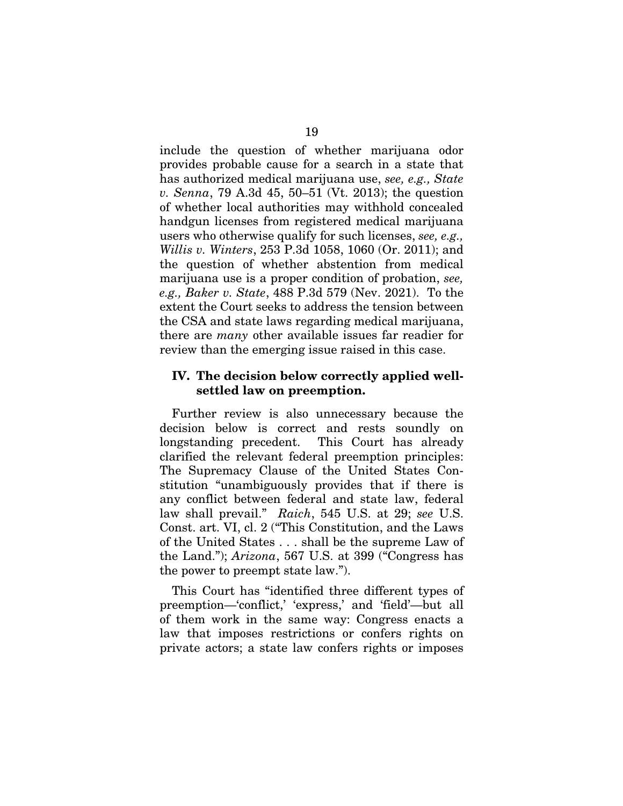include the question of whether marijuana odor provides probable cause for a search in a state that has authorized medical marijuana use, *see, e.g., State v. Senna*, 79 A.3d 45, 50–51 (Vt. 2013); the question of whether local authorities may withhold concealed handgun licenses from registered medical marijuana users who otherwise qualify for such licenses, *see, e.g., Willis v. Winters*, 253 P.3d 1058, 1060 (Or. 2011); and the question of whether abstention from medical marijuana use is a proper condition of probation, *see, e.g., Baker v. State*, 488 P.3d 579 (Nev. 2021). To the extent the Court seeks to address the tension between the CSA and state laws regarding medical marijuana, there are *many* other available issues far readier for review than the emerging issue raised in this case.

### IV. The decision below correctly applied wellsettled law on preemption.

Further review is also unnecessary because the decision below is correct and rests soundly on longstanding precedent. This Court has already clarified the relevant federal preemption principles: The Supremacy Clause of the United States Constitution "unambiguously provides that if there is any conflict between federal and state law, federal law shall prevail." *Raich*, 545 U.S. at 29; *see* U.S. Const. art. VI, cl. 2 ("This Constitution, and the Laws of the United States . . . shall be the supreme Law of the Land."); *Arizona*, 567 U.S. at 399 ("Congress has the power to preempt state law.").

This Court has "identified three different types of preemption—'conflict,' 'express,' and 'field'—but all of them work in the same way: Congress enacts a law that imposes restrictions or confers rights on private actors; a state law confers rights or imposes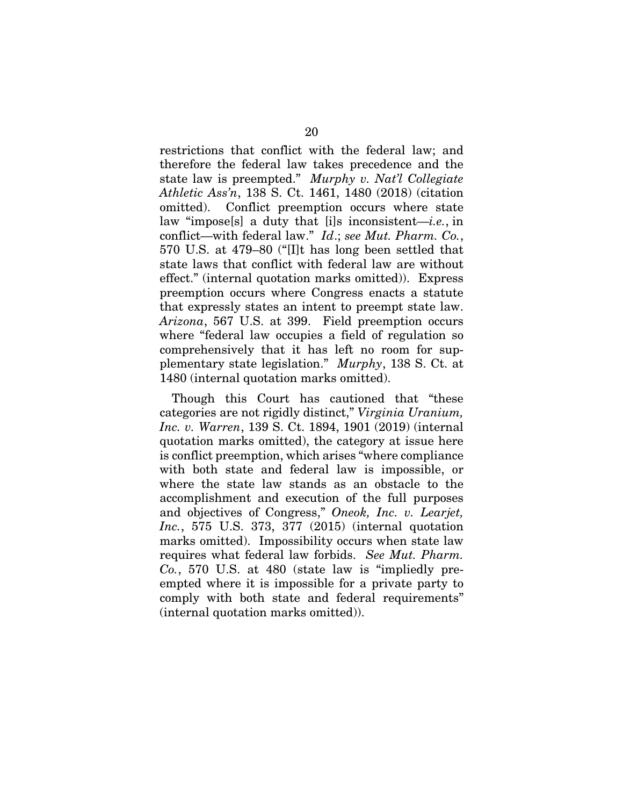restrictions that conflict with the federal law; and therefore the federal law takes precedence and the state law is preempted." *Murphy v. Nat'l Collegiate Athletic Ass'n*, 138 S. Ct. 1461, 1480 (2018) (citation omitted). Conflict preemption occurs where state law "impose[s] a duty that [i]s inconsistent—*i.e.*, in conflict—with federal law." *Id*.; *see Mut. Pharm. Co.*, 570 U.S. at 479–80 ("[I]t has long been settled that state laws that conflict with federal law are without effect." (internal quotation marks omitted)). Express preemption occurs where Congress enacts a statute that expressly states an intent to preempt state law. *Arizona*, 567 U.S. at 399. Field preemption occurs where "federal law occupies a field of regulation so comprehensively that it has left no room for supplementary state legislation." *Murphy*, 138 S. Ct. at 1480 (internal quotation marks omitted).

Though this Court has cautioned that "these categories are not rigidly distinct," *Virginia Uranium, Inc. v. Warren*, 139 S. Ct. 1894, 1901 (2019) (internal quotation marks omitted), the category at issue here is conflict preemption, which arises "where compliance with both state and federal law is impossible, or where the state law stands as an obstacle to the accomplishment and execution of the full purposes and objectives of Congress," *Oneok, Inc. v. Learjet, Inc.*, 575 U.S. 373, 377 (2015) (internal quotation marks omitted). Impossibility occurs when state law requires what federal law forbids. *See Mut. Pharm. Co.*, 570 U.S. at 480 (state law is "impliedly preempted where it is impossible for a private party to comply with both state and federal requirements" (internal quotation marks omitted)).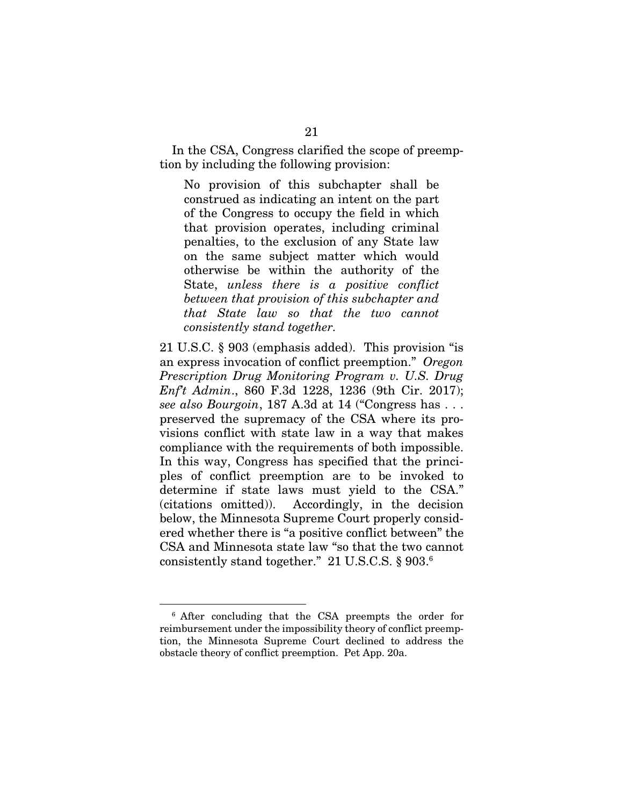In the CSA, Congress clarified the scope of preemption by including the following provision:

No provision of this subchapter shall be construed as indicating an intent on the part of the Congress to occupy the field in which that provision operates, including criminal penalties, to the exclusion of any State law on the same subject matter which would otherwise be within the authority of the State, *unless there is a positive conflict between that provision of this subchapter and that State law so that the two cannot consistently stand together.* 

21 U.S.C. § 903 (emphasis added). This provision "is an express invocation of conflict preemption." *Oregon Prescription Drug Monitoring Program v. U.S. Drug Enf't Admin*., 860 F.3d 1228, 1236 (9th Cir. 2017); *see also Bourgoin*, 187 A.3d at 14 ("Congress has . . . preserved the supremacy of the CSA where its provisions conflict with state law in a way that makes compliance with the requirements of both impossible. In this way, Congress has specified that the principles of conflict preemption are to be invoked to determine if state laws must yield to the CSA." (citations omitted)). Accordingly, in the decision below, the Minnesota Supreme Court properly considered whether there is "a positive conflict between" the CSA and Minnesota state law "so that the two cannot consistently stand together." 21 U.S.C.S. § 903.6

<sup>6</sup> After concluding that the CSA preempts the order for reimbursement under the impossibility theory of conflict preemption, the Minnesota Supreme Court declined to address the obstacle theory of conflict preemption. Pet App. 20a.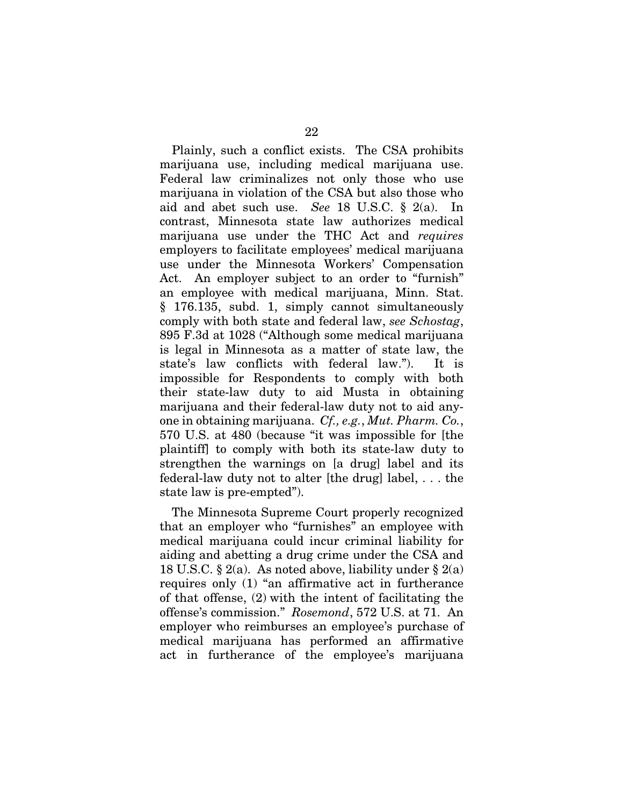Plainly, such a conflict exists. The CSA prohibits marijuana use, including medical marijuana use. Federal law criminalizes not only those who use marijuana in violation of the CSA but also those who aid and abet such use. *See* 18 U.S.C. § 2(a). In contrast, Minnesota state law authorizes medical marijuana use under the THC Act and *requires* employers to facilitate employees' medical marijuana use under the Minnesota Workers' Compensation Act. An employer subject to an order to "furnish" an employee with medical marijuana, Minn. Stat. § 176.135, subd. 1, simply cannot simultaneously comply with both state and federal law, *see Schostag*, 895 F.3d at 1028 ("Although some medical marijuana is legal in Minnesota as a matter of state law, the state's law conflicts with federal law."). It is impossible for Respondents to comply with both their state-law duty to aid Musta in obtaining marijuana and their federal-law duty not to aid anyone in obtaining marijuana. *Cf., e.g.*, *Mut. Pharm. Co.*, 570 U.S. at 480 (because "it was impossible for [the plaintiff] to comply with both its state-law duty to strengthen the warnings on [a drug] label and its federal-law duty not to alter [the drug] label, . . . the state law is pre-empted").

The Minnesota Supreme Court properly recognized that an employer who "furnishes" an employee with medical marijuana could incur criminal liability for aiding and abetting a drug crime under the CSA and 18 U.S.C.  $\S 2(a)$ . As noted above, liability under  $\S 2(a)$ requires only (1) "an affirmative act in furtherance of that offense, (2) with the intent of facilitating the offense's commission." *Rosemond*, 572 U.S. at 71. An employer who reimburses an employee's purchase of medical marijuana has performed an affirmative act in furtherance of the employee's marijuana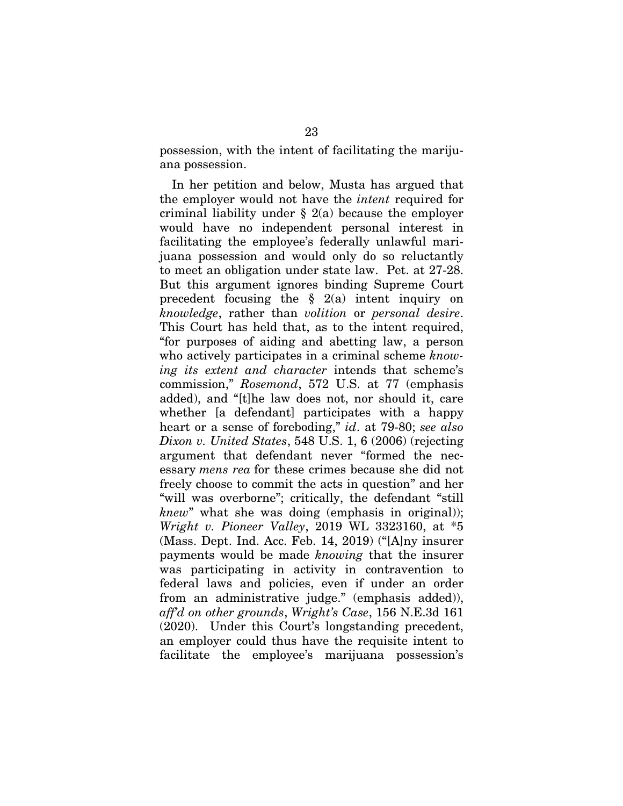possession, with the intent of facilitating the marijuana possession.

In her petition and below, Musta has argued that the employer would not have the *intent* required for criminal liability under  $\S$  2(a) because the employer would have no independent personal interest in facilitating the employee's federally unlawful marijuana possession and would only do so reluctantly to meet an obligation under state law. Pet. at 27-28. But this argument ignores binding Supreme Court precedent focusing the  $\S$  2(a) intent inquiry on *knowledge*, rather than *volition* or *personal desire*. This Court has held that, as to the intent required, "for purposes of aiding and abetting law, a person who actively participates in a criminal scheme *knowing its extent and character* intends that scheme's commission," *Rosemond*, 572 U.S. at 77 (emphasis added), and "[t]he law does not, nor should it, care whether [a defendant] participates with a happy heart or a sense of foreboding," *id*. at 79-80; *see also Dixon v. United States*, 548 U.S. 1, 6 (2006) (rejecting argument that defendant never "formed the necessary *mens rea* for these crimes because she did not freely choose to commit the acts in question" and her "will was overborne"; critically, the defendant "still *knew*" what she was doing (emphasis in original)); *Wright v. Pioneer Valley*, 2019 WL 3323160, at \*5 (Mass. Dept. Ind. Acc. Feb. 14, 2019) ("[A]ny insurer payments would be made *knowing* that the insurer was participating in activity in contravention to federal laws and policies, even if under an order from an administrative judge." (emphasis added)), *aff'd on other grounds*, *Wright's Case*, 156 N.E.3d 161 (2020). Under this Court's longstanding precedent, an employer could thus have the requisite intent to facilitate the employee's marijuana possession's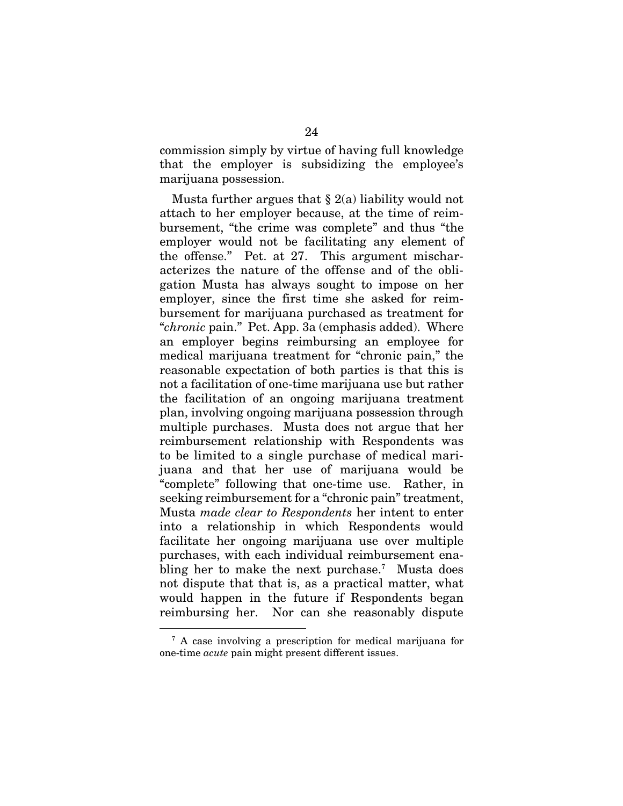commission simply by virtue of having full knowledge that the employer is subsidizing the employee's marijuana possession.

Musta further argues that  $\S$  2(a) liability would not attach to her employer because, at the time of reimbursement, "the crime was complete" and thus "the employer would not be facilitating any element of the offense." Pet. at 27. This argument mischaracterizes the nature of the offense and of the obligation Musta has always sought to impose on her employer, since the first time she asked for reimbursement for marijuana purchased as treatment for "*chronic* pain." Pet. App. 3a (emphasis added). Where an employer begins reimbursing an employee for medical marijuana treatment for "chronic pain," the reasonable expectation of both parties is that this is not a facilitation of one-time marijuana use but rather the facilitation of an ongoing marijuana treatment plan, involving ongoing marijuana possession through multiple purchases. Musta does not argue that her reimbursement relationship with Respondents was to be limited to a single purchase of medical marijuana and that her use of marijuana would be "complete" following that one-time use. Rather, in seeking reimbursement for a "chronic pain" treatment, Musta *made clear to Respondents* her intent to enter into a relationship in which Respondents would facilitate her ongoing marijuana use over multiple purchases, with each individual reimbursement enabling her to make the next purchase.<sup>7</sup> Musta does not dispute that that is, as a practical matter, what would happen in the future if Respondents began reimbursing her. Nor can she reasonably dispute

<sup>7</sup> A case involving a prescription for medical marijuana for one-time *acute* pain might present different issues.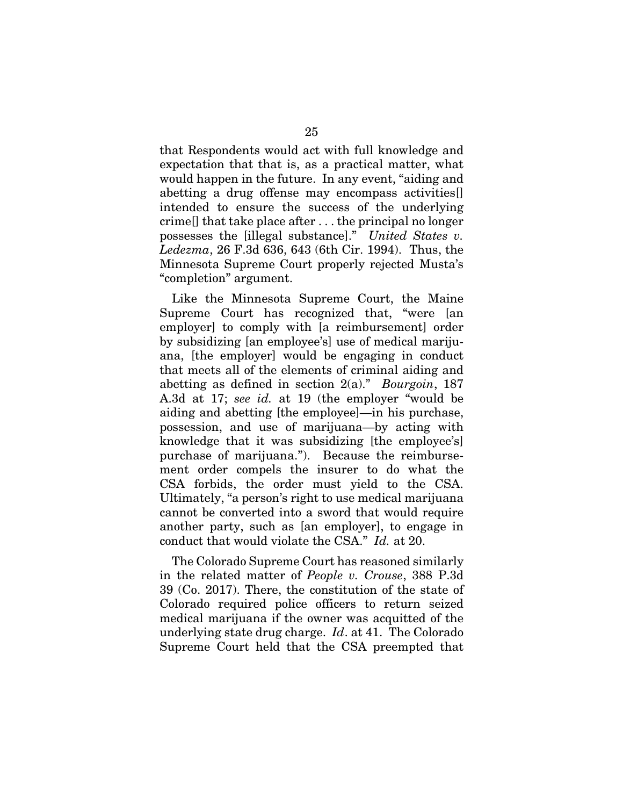that Respondents would act with full knowledge and expectation that that is, as a practical matter, what would happen in the future. In any event, "aiding and abetting a drug offense may encompass activities[] intended to ensure the success of the underlying crime[] that take place after . . . the principal no longer possesses the [illegal substance]." *United States v. Ledezma*, 26 F.3d 636, 643 (6th Cir. 1994). Thus, the Minnesota Supreme Court properly rejected Musta's "completion" argument.

Like the Minnesota Supreme Court, the Maine Supreme Court has recognized that, "were [an employer] to comply with [a reimbursement] order by subsidizing [an employee's] use of medical marijuana, [the employer] would be engaging in conduct that meets all of the elements of criminal aiding and abetting as defined in section 2(a)." *Bourgoin*, 187 A.3d at 17; *see id.* at 19 (the employer "would be aiding and abetting [the employee]—in his purchase, possession, and use of marijuana—by acting with knowledge that it was subsidizing [the employee's] purchase of marijuana."). Because the reimbursement order compels the insurer to do what the CSA forbids, the order must yield to the CSA. Ultimately, "a person's right to use medical marijuana cannot be converted into a sword that would require another party, such as [an employer], to engage in conduct that would violate the CSA." *Id.* at 20.

The Colorado Supreme Court has reasoned similarly in the related matter of *People v. Crouse*, 388 P.3d 39 (Co. 2017). There, the constitution of the state of Colorado required police officers to return seized medical marijuana if the owner was acquitted of the underlying state drug charge. *Id*. at 41. The Colorado Supreme Court held that the CSA preempted that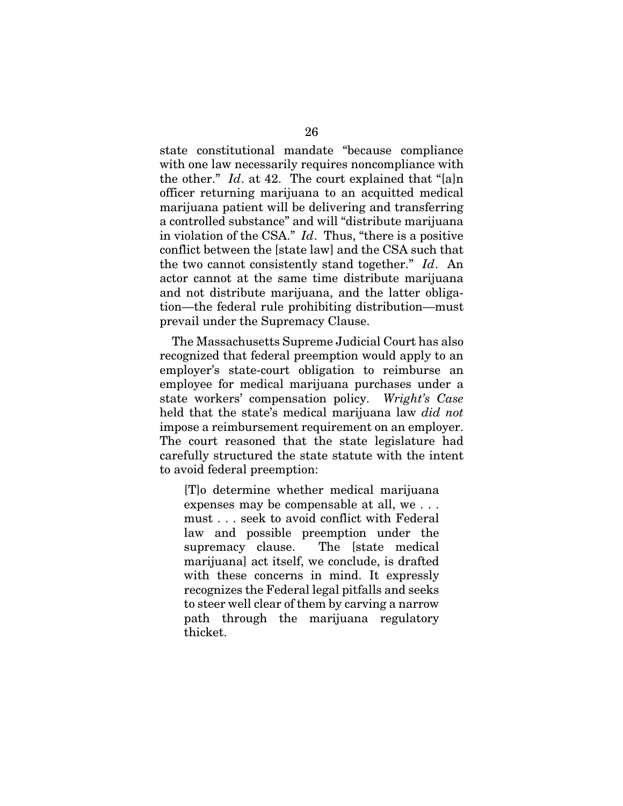state constitutional mandate "because compliance with one law necessarily requires noncompliance with the other." *Id*. at 42. The court explained that "[a]n officer returning marijuana to an acquitted medical marijuana patient will be delivering and transferring a controlled substance" and will "distribute marijuana in violation of the CSA." *Id*. Thus, "there is a positive conflict between the [state law] and the CSA such that the two cannot consistently stand together." *Id*. An actor cannot at the same time distribute marijuana and not distribute marijuana, and the latter obligation—the federal rule prohibiting distribution—must prevail under the Supremacy Clause.

The Massachusetts Supreme Judicial Court has also recognized that federal preemption would apply to an employer's state-court obligation to reimburse an employee for medical marijuana purchases under a state workers' compensation policy. *Wright's Case* held that the state's medical marijuana law *did not* impose a reimbursement requirement on an employer. The court reasoned that the state legislature had carefully structured the state statute with the intent to avoid federal preemption:

[T]o determine whether medical marijuana expenses may be compensable at all, we . . . must . . . seek to avoid conflict with Federal law and possible preemption under the supremacy clause. The [state medical marijuana] act itself, we conclude, is drafted with these concerns in mind. It expressly recognizes the Federal legal pitfalls and seeks to steer well clear of them by carving a narrow path through the marijuana regulatory thicket.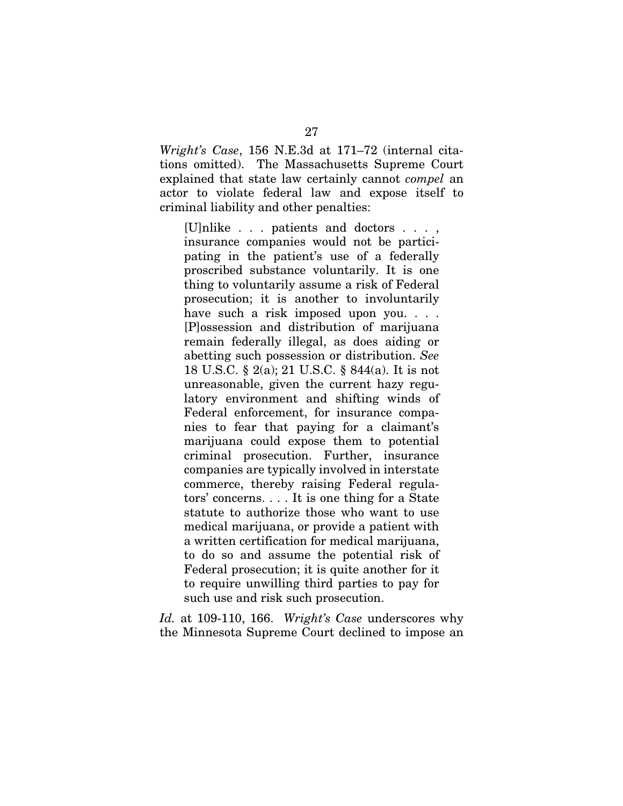*Wright's Case*, 156 N.E.3d at 171–72 (internal citations omitted). The Massachusetts Supreme Court explained that state law certainly cannot *compel* an actor to violate federal law and expose itself to criminal liability and other penalties:

[U]nlike . . . patients and doctors . . . , insurance companies would not be participating in the patient's use of a federally proscribed substance voluntarily. It is one thing to voluntarily assume a risk of Federal prosecution; it is another to involuntarily have such a risk imposed upon you. . . . [P]ossession and distribution of marijuana remain federally illegal, as does aiding or abetting such possession or distribution. *See* 18 U.S.C. § 2(a); 21 U.S.C. § 844(a). It is not unreasonable, given the current hazy regulatory environment and shifting winds of Federal enforcement, for insurance companies to fear that paying for a claimant's marijuana could expose them to potential criminal prosecution. Further, insurance companies are typically involved in interstate commerce, thereby raising Federal regulators' concerns. . . . It is one thing for a State statute to authorize those who want to use medical marijuana, or provide a patient with a written certification for medical marijuana, to do so and assume the potential risk of Federal prosecution; it is quite another for it to require unwilling third parties to pay for such use and risk such prosecution.

*Id.* at 109-110, 166. *Wright's Case* underscores why the Minnesota Supreme Court declined to impose an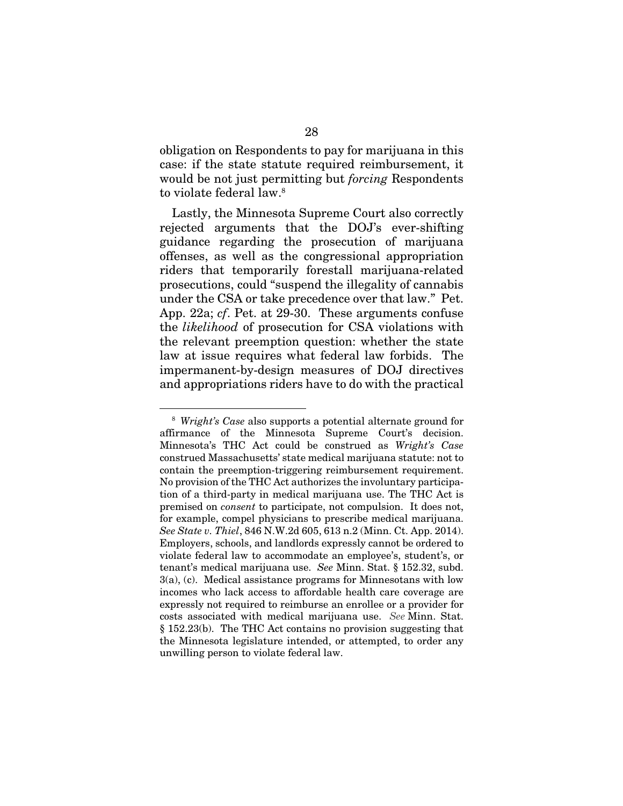obligation on Respondents to pay for marijuana in this case: if the state statute required reimbursement, it would be not just permitting but *forcing* Respondents to violate federal law.8

Lastly, the Minnesota Supreme Court also correctly rejected arguments that the DOJ's ever-shifting guidance regarding the prosecution of marijuana offenses, as well as the congressional appropriation riders that temporarily forestall marijuana-related prosecutions, could "suspend the illegality of cannabis under the CSA or take precedence over that law." Pet. App. 22a; *cf*. Pet. at 29-30. These arguments confuse the *likelihood* of prosecution for CSA violations with the relevant preemption question: whether the state law at issue requires what federal law forbids. The impermanent-by-design measures of DOJ directives and appropriations riders have to do with the practical

<sup>8</sup> *Wright's Case* also supports a potential alternate ground for affirmance of the Minnesota Supreme Court's decision. Minnesota's THC Act could be construed as *Wright's Case* construed Massachusetts' state medical marijuana statute: not to contain the preemption-triggering reimbursement requirement. No provision of the THC Act authorizes the involuntary participation of a third-party in medical marijuana use. The THC Act is premised on *consent* to participate, not compulsion. It does not, for example, compel physicians to prescribe medical marijuana. *See State v. Thiel*, 846 N.W.2d 605, 613 n.2 (Minn. Ct. App. 2014). Employers, schools, and landlords expressly cannot be ordered to violate federal law to accommodate an employee's, student's, or tenant's medical marijuana use. *See* Minn. Stat. § 152.32, subd. 3(a), (c). Medical assistance programs for Minnesotans with low incomes who lack access to affordable health care coverage are expressly not required to reimburse an enrollee or a provider for costs associated with medical marijuana use. *See* Minn. Stat. § 152.23(b). The THC Act contains no provision suggesting that the Minnesota legislature intended, or attempted, to order any unwilling person to violate federal law.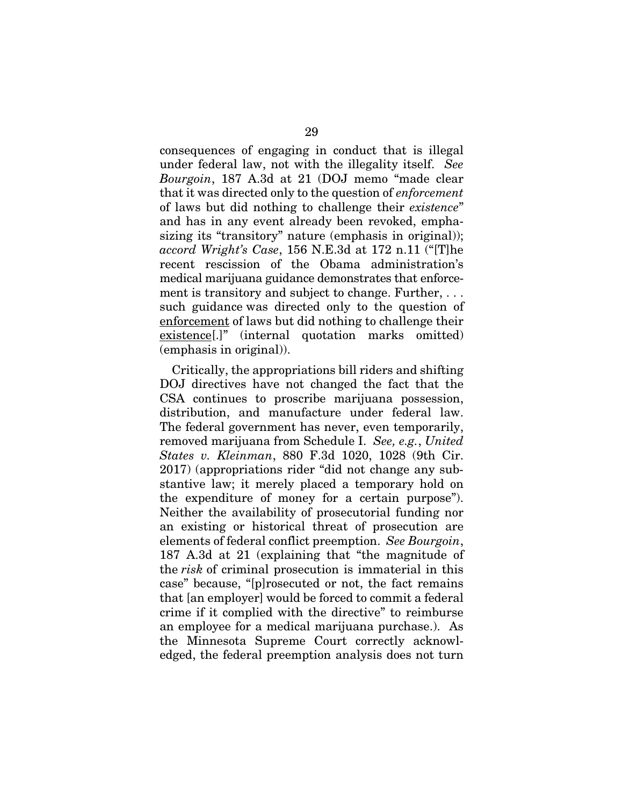consequences of engaging in conduct that is illegal under federal law, not with the illegality itself. *See Bourgoin*, 187 A.3d at 21 (DOJ memo "made clear that it was directed only to the question of *enforcement* of laws but did nothing to challenge their *existence*" and has in any event already been revoked, emphasizing its "transitory" nature (emphasis in original)); *accord Wright's Case*, 156 N.E.3d at 172 n.11 ("[T]he recent rescission of the Obama administration's medical marijuana guidance demonstrates that enforcement is transitory and subject to change. Further, . . . such guidance was directed only to the question of enforcement of laws but did nothing to challenge their existence[.]" (internal quotation marks omitted) (emphasis in original)).

Critically, the appropriations bill riders and shifting DOJ directives have not changed the fact that the CSA continues to proscribe marijuana possession, distribution, and manufacture under federal law. The federal government has never, even temporarily, removed marijuana from Schedule I. *See, e.g.*, *United States v. Kleinman*, 880 F.3d 1020, 1028 (9th Cir. 2017) (appropriations rider "did not change any substantive law; it merely placed a temporary hold on the expenditure of money for a certain purpose"). Neither the availability of prosecutorial funding nor an existing or historical threat of prosecution are elements of federal conflict preemption. *See Bourgoin*, 187 A.3d at 21 (explaining that "the magnitude of the *risk* of criminal prosecution is immaterial in this case" because, "[p]rosecuted or not, the fact remains that [an employer] would be forced to commit a federal crime if it complied with the directive" to reimburse an employee for a medical marijuana purchase.). As the Minnesota Supreme Court correctly acknowledged, the federal preemption analysis does not turn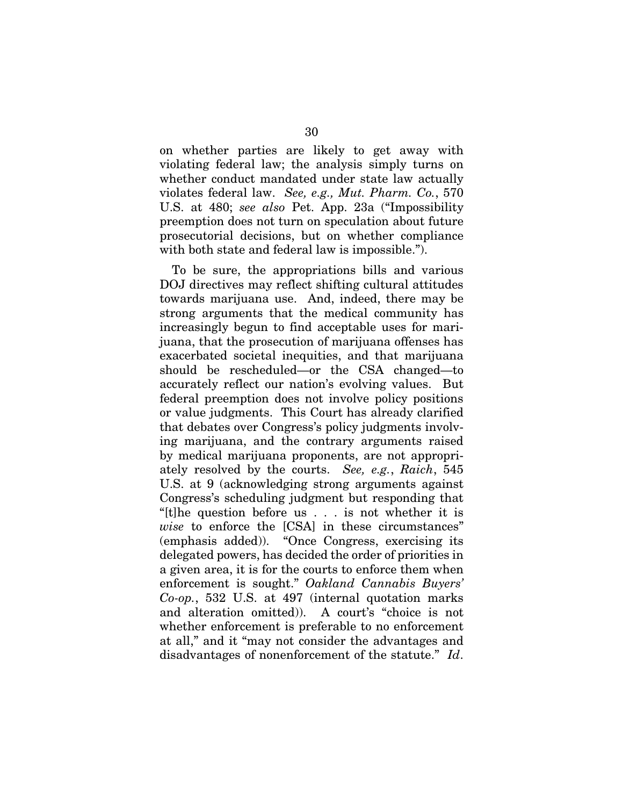on whether parties are likely to get away with violating federal law; the analysis simply turns on whether conduct mandated under state law actually violates federal law. *See, e.g., Mut. Pharm. Co.*, 570 U.S. at 480; *see also* Pet. App. 23a ("Impossibility preemption does not turn on speculation about future prosecutorial decisions, but on whether compliance with both state and federal law is impossible.").

To be sure, the appropriations bills and various DOJ directives may reflect shifting cultural attitudes towards marijuana use. And, indeed, there may be strong arguments that the medical community has increasingly begun to find acceptable uses for marijuana, that the prosecution of marijuana offenses has exacerbated societal inequities, and that marijuana should be rescheduled—or the CSA changed—to accurately reflect our nation's evolving values. But federal preemption does not involve policy positions or value judgments. This Court has already clarified that debates over Congress's policy judgments involving marijuana, and the contrary arguments raised by medical marijuana proponents, are not appropriately resolved by the courts. *See, e.g.*, *Raich*, 545 U.S. at 9 (acknowledging strong arguments against Congress's scheduling judgment but responding that "[t]he question before us . . . is not whether it is *wise* to enforce the [CSA] in these circumstances" (emphasis added)). "Once Congress, exercising its delegated powers, has decided the order of priorities in a given area, it is for the courts to enforce them when enforcement is sought." *Oakland Cannabis Buyers' Co-op.*, 532 U.S. at 497 (internal quotation marks and alteration omitted)). A court's "choice is not whether enforcement is preferable to no enforcement at all," and it "may not consider the advantages and disadvantages of nonenforcement of the statute." *Id*.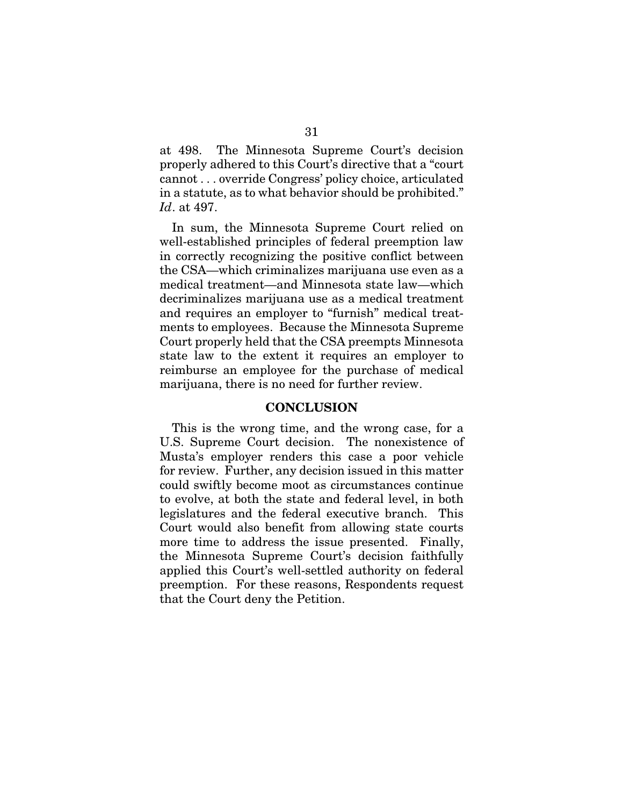at 498. The Minnesota Supreme Court's decision properly adhered to this Court's directive that a "court cannot . . . override Congress' policy choice, articulated in a statute, as to what behavior should be prohibited." *Id*. at 497.

In sum, the Minnesota Supreme Court relied on well-established principles of federal preemption law in correctly recognizing the positive conflict between the CSA—which criminalizes marijuana use even as a medical treatment—and Minnesota state law—which decriminalizes marijuana use as a medical treatment and requires an employer to "furnish" medical treatments to employees. Because the Minnesota Supreme Court properly held that the CSA preempts Minnesota state law to the extent it requires an employer to reimburse an employee for the purchase of medical marijuana, there is no need for further review.

#### CONCLUSION

This is the wrong time, and the wrong case, for a U.S. Supreme Court decision. The nonexistence of Musta's employer renders this case a poor vehicle for review. Further, any decision issued in this matter could swiftly become moot as circumstances continue to evolve, at both the state and federal level, in both legislatures and the federal executive branch. This Court would also benefit from allowing state courts more time to address the issue presented. Finally, the Minnesota Supreme Court's decision faithfully applied this Court's well-settled authority on federal preemption. For these reasons, Respondents request that the Court deny the Petition.